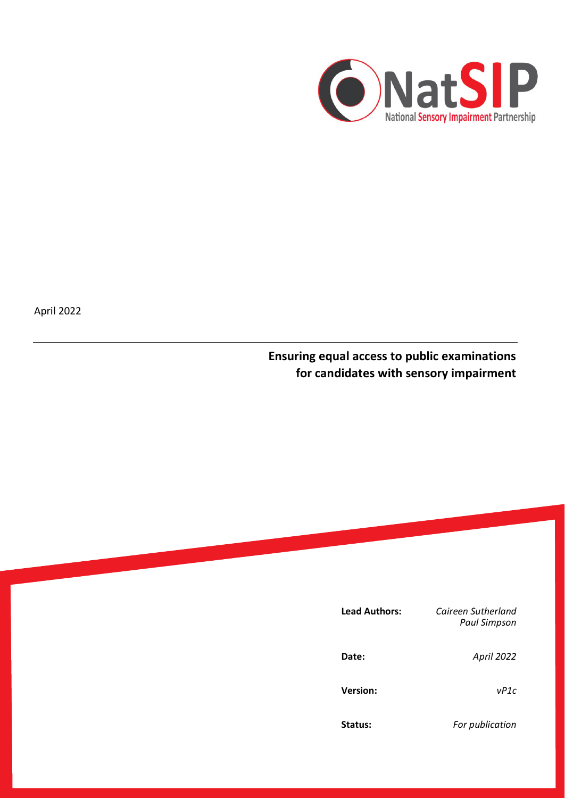

April 2022

**Ensuring equal access to public examinations for candidates with sensory impairment**

| <b>Lead Authors:</b> | Caireen Sutherland<br><b>Paul Simpson</b> |
|----------------------|-------------------------------------------|
| Date:                | April 2022                                |
| <b>Version:</b>      | vP1c                                      |
| Status:              | For publication                           |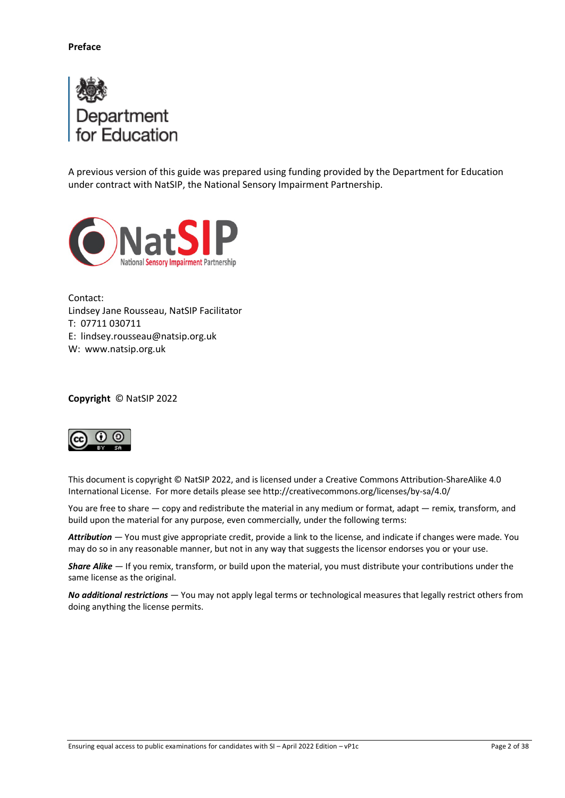

A previous version of this guide was prepared using funding provided by the Department for Education under contract with NatSIP, the National Sensory Impairment Partnership.



Contact: Lindsey Jane Rousseau, NatSIP Facilitator T: 07711 030711 E: lindsey.rousseau@natsip.org.uk W: www.natsip.org.uk

**Copyright** © NatSIP 2022



This document is copyright © NatSIP 2022, and is licensed under [a Creative Commons Attribution-ShareAlike](http://creativecommons.org/licenses/by-sa/4.0/deed.en_US) 4.0 [International License.](http://creativecommons.org/licenses/by-sa/4.0/deed.en_US) For more details please se[e http://creativecommons.org/licenses/by-sa/4.0/](http://creativecommons.org/licenses/by-sa/4.0/)

You are free to share — copy and redistribute the material in any medium or format, adapt — remix, transform, and build upon the material for any purpose, even commercially, under the following terms:

*Attribution —* You must giv[e appropriate credit,](http://creativecommons.org/licenses/by-sa/4.0/) provide a link to the license, an[d indicate if changes were made.](http://creativecommons.org/licenses/by-sa/4.0/) You may do so in any reasonable manner, but not in any way that suggests the licensor endorses you or your use.

*Share Alike —* If you remix, transform, or build upon the material, you must distribute your contributions under the [same license](http://creativecommons.org/licenses/by-sa/4.0/) as the original.

*No additional restrictions —* You may not apply legal terms or [technological measures](http://creativecommons.org/licenses/by-sa/4.0/) that legally restrict others from doing anything the license permits.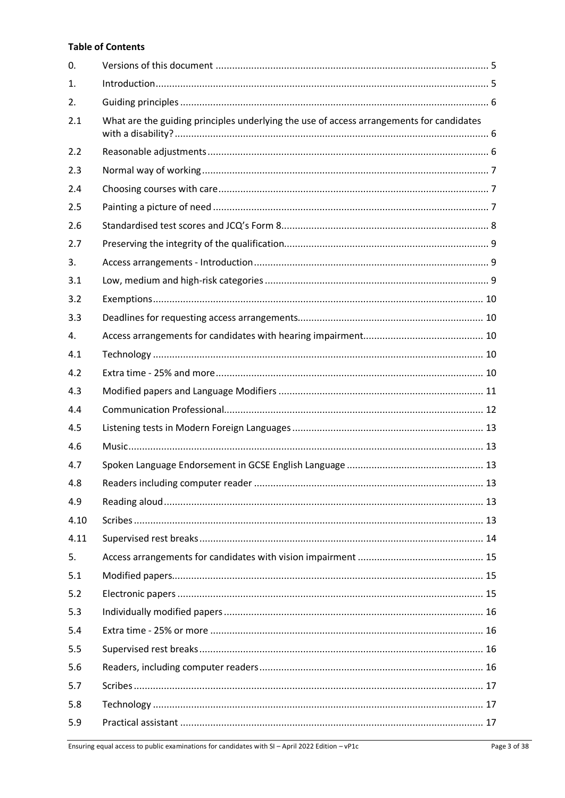# **Table of Contents**

| 0.   |                                                                                          |  |
|------|------------------------------------------------------------------------------------------|--|
| 1.   |                                                                                          |  |
| 2.   |                                                                                          |  |
| 2.1  | What are the guiding principles underlying the use of access arrangements for candidates |  |
| 2.2  |                                                                                          |  |
| 2.3  |                                                                                          |  |
| 2.4  |                                                                                          |  |
| 2.5  |                                                                                          |  |
| 2.6  |                                                                                          |  |
| 2.7  |                                                                                          |  |
| 3.   |                                                                                          |  |
| 3.1  |                                                                                          |  |
| 3.2  |                                                                                          |  |
| 3.3  |                                                                                          |  |
| 4.   |                                                                                          |  |
| 4.1  |                                                                                          |  |
| 4.2  |                                                                                          |  |
| 4.3  |                                                                                          |  |
| 4.4  |                                                                                          |  |
| 4.5  |                                                                                          |  |
| 4.6  |                                                                                          |  |
| 4.7  |                                                                                          |  |
| 4.8  |                                                                                          |  |
| 4.9  |                                                                                          |  |
| 4.10 |                                                                                          |  |
| 4.11 |                                                                                          |  |
| 5.   |                                                                                          |  |
| 5.1  |                                                                                          |  |
| 5.2  |                                                                                          |  |
| 5.3  |                                                                                          |  |
| 5.4  |                                                                                          |  |
| 5.5  |                                                                                          |  |
| 5.6  |                                                                                          |  |
| 5.7  |                                                                                          |  |
| 5.8  |                                                                                          |  |
| 5.9  |                                                                                          |  |
|      |                                                                                          |  |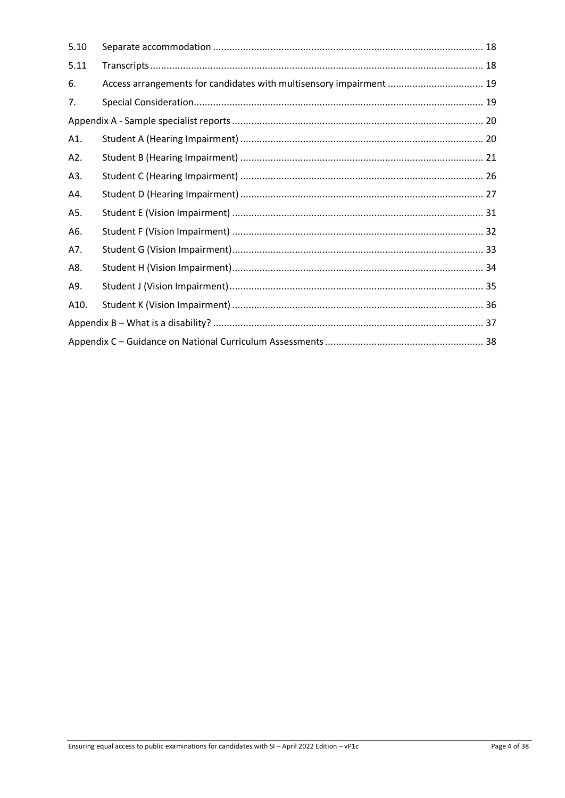| 5.10 |                                                                     |  |  |
|------|---------------------------------------------------------------------|--|--|
| 5.11 |                                                                     |  |  |
| 6.   | Access arrangements for candidates with multisensory impairment  19 |  |  |
| 7.   |                                                                     |  |  |
|      |                                                                     |  |  |
| A1.  |                                                                     |  |  |
| A2.  |                                                                     |  |  |
| A3.  |                                                                     |  |  |
| A4.  |                                                                     |  |  |
| A5.  |                                                                     |  |  |
| A6.  |                                                                     |  |  |
| A7.  |                                                                     |  |  |
| A8.  |                                                                     |  |  |
| A9.  |                                                                     |  |  |
| A10. |                                                                     |  |  |
|      |                                                                     |  |  |
|      |                                                                     |  |  |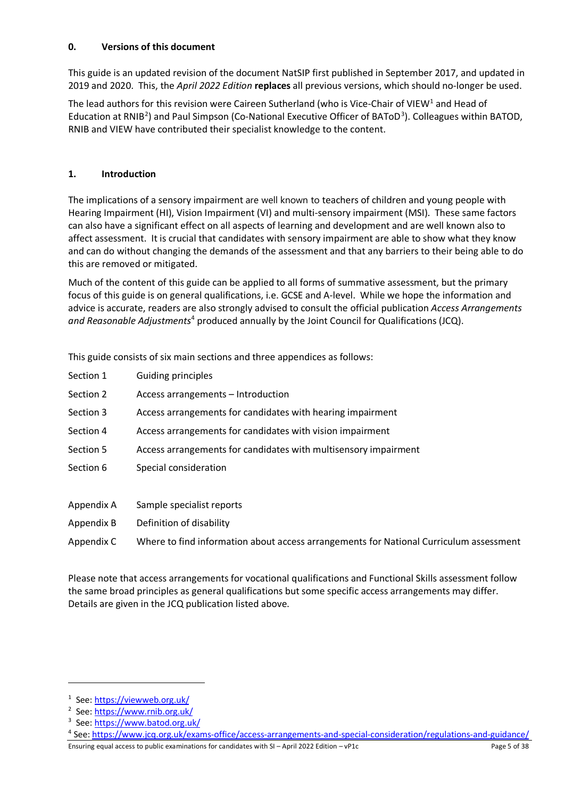# <span id="page-4-0"></span>**0. Versions of this document**

This guide is an updated revision of the document NatSIP first published in September 2017, and updated in 2019 and 2020. This, the *April 2022 Edition* **replaces** all previous versions, which should no-longer be used.

The lead authors for this revision were Caireen Sutherland (who is Vice-Chair of VIEW<sup>[1](#page-4-2)</sup> and Head of Education at RNIB<sup>[2](#page-4-3)</sup>) and Paul Simpson (Co-National Executive Officer of BAToD<sup>[3](#page-4-4)</sup>). Colleagues within BATOD, RNIB and VIEW have contributed their specialist knowledge to the content.

## <span id="page-4-1"></span>**1. Introduction**

The implications of a sensory impairment are well known to teachers of children and young people with Hearing Impairment (HI), Vision Impairment (VI) and multi-sensory impairment (MSI). These same factors can also have a significant effect on all aspects of learning and development and are well known also to affect assessment. It is crucial that candidates with sensory impairment are able to show what they know and can do without changing the demands of the assessment and that any barriers to their being able to do this are removed or mitigated.

Much of the content of this guide can be applied to all forms of summative assessment, but the primary focus of this guide is on general qualifications, i.e. GCSE and A-level. While we hope the information and advice is accurate, readers are also strongly advised to consult the official publication *Access Arrangements and Reasonable Adjustments*[4](#page-4-5) produced annually by the Joint Council for Qualifications (JCQ).

This guide consists of six main sections and three appendices as follows:

| Section 1  | <b>Guiding principles</b>                                                              |
|------------|----------------------------------------------------------------------------------------|
| Section 2  | Access arrangements – Introduction                                                     |
| Section 3  | Access arrangements for candidates with hearing impairment                             |
| Section 4  | Access arrangements for candidates with vision impairment                              |
| Section 5  | Access arrangements for candidates with multisensory impairment                        |
| Section 6  | Special consideration                                                                  |
|            |                                                                                        |
| Appendix A | Sample specialist reports                                                              |
| Appendix B | Definition of disability                                                               |
| Appendix C | Where to find information about access arrangements for National Curriculum assessment |

Please note that access arrangements for vocational qualifications and Functional Skills assessment follow the same broad principles as general qualifications but some specific access arrangements may differ. Details are given in the JCQ publication listed above.

<span id="page-4-2"></span><sup>&</sup>lt;sup>1</sup> See[: https://viewweb.org.uk/](https://viewweb.org.uk/)

<span id="page-4-3"></span><sup>&</sup>lt;sup>2</sup> See[: https://www.rnib.org.uk/](https://www.rnib.org.uk/)

<span id="page-4-4"></span><sup>&</sup>lt;sup>3</sup> See[: https://www.batod.org.uk/](https://www.batod.org.uk/)

<span id="page-4-5"></span><sup>4</sup> See[: https://www.jcq.org.uk/exams-office/access-arrangements-and-special-consideration/regulations-and-guidance/](https://www.jcq.org.uk/exams-office/access-arrangements-and-special-consideration/regulations-and-guidance/)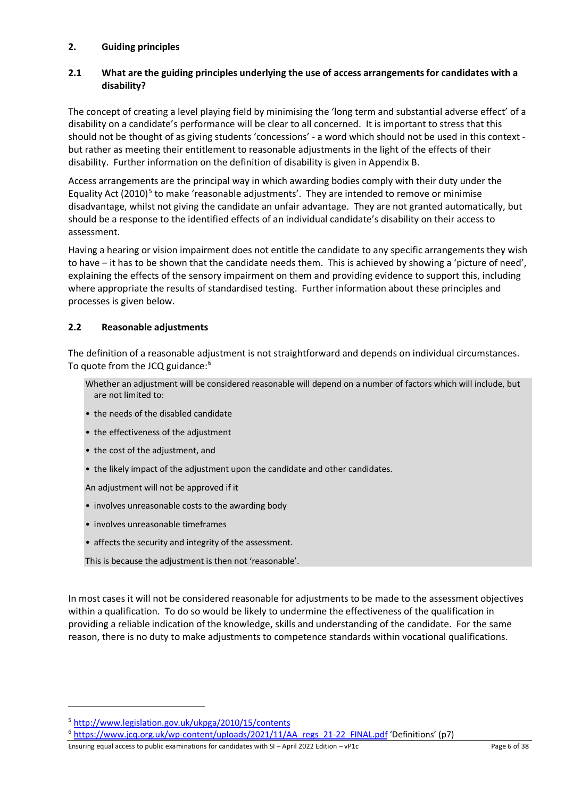## <span id="page-5-0"></span>**2. Guiding principles**

## <span id="page-5-1"></span>**2.1 What are the guiding principles underlying the use of access arrangements for candidates with a disability?**

The concept of creating a level playing field by minimising the 'long term and substantial adverse effect' of a disability on a candidate's performance will be clear to all concerned. It is important to stress that this should not be thought of as giving students 'concessions' - a word which should not be used in this context but rather as meeting their entitlement to reasonable adjustments in the light of the effects of their disability. Further information on the definition of disability is given in Appendix B.

Access arrangements are the principal way in which awarding bodies comply with their duty under the Equality Act  $(2010)^5$  $(2010)^5$  to make 'reasonable adjustments'. They are intended to remove or minimise disadvantage, whilst not giving the candidate an unfair advantage. They are not granted automatically, but should be a response to the identified effects of an individual candidate's disability on their access to assessment.

Having a hearing or vision impairment does not entitle the candidate to any specific arrangements they wish to have – it has to be shown that the candidate needs them. This is achieved by showing a 'picture of need', explaining the effects of the sensory impairment on them and providing evidence to support this, including where appropriate the results of standardised testing. Further information about these principles and processes is given below.

## <span id="page-5-2"></span>**2.2 Reasonable adjustments**

The definition of a reasonable adjustment is not straightforward and depends on individual circumstances. To quote from the JCQ guidance:<sup>[6](#page-5-4)</sup>

- Whether an adjustment will be considered reasonable will depend on a number of factors which will include, but are not limited to:
- the needs of the disabled candidate
- the effectiveness of the adjustment
- the cost of the adjustment, and
- the likely impact of the adjustment upon the candidate and other candidates.

An adjustment will not be approved if it

- involves unreasonable costs to the awarding body
- involves unreasonable timeframes
- affects the security and integrity of the assessment.

This is because the adjustment is then not 'reasonable'.

In most cases it will not be considered reasonable for adjustments to be made to the assessment objectives within a qualification. To do so would be likely to undermine the effectiveness of the qualification in providing a reliable indication of the knowledge, skills and understanding of the candidate. For the same reason, there is no duty to make adjustments to competence standards within vocational qualifications.

Ensuring equal access to public examinations for candidates with SI – April 2022 Edition – vP1c Page 6 of 38 Page 6 of 38

<span id="page-5-3"></span><sup>5</sup> <http://www.legislation.gov.uk/ukpga/2010/15/contents>

<span id="page-5-4"></span><sup>&</sup>lt;sup>6</sup> [https://www.jcq.org.uk/wp-content/uploads/2021/11/AA\\_regs\\_21-22\\_FINAL.pdf](https://www.jcq.org.uk/wp-content/uploads/2021/11/AA_regs_21-22_FINAL.pdf) 'Definitions' (p7)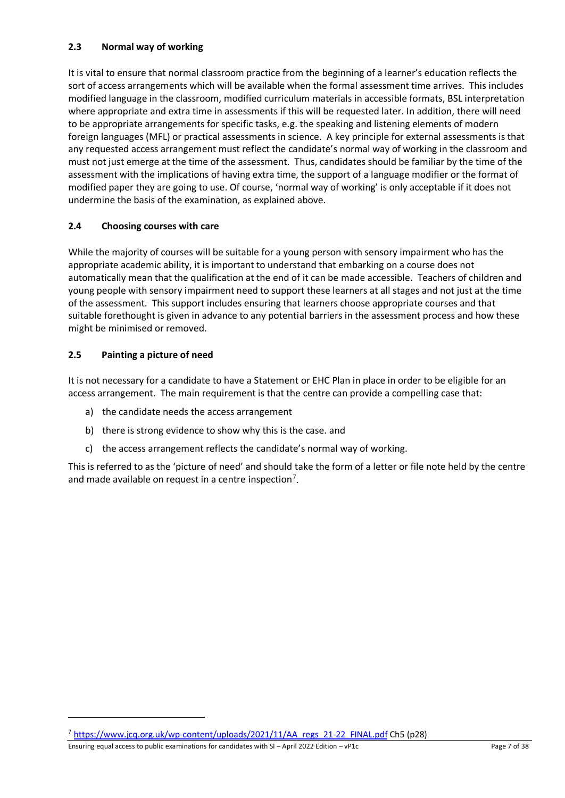# <span id="page-6-0"></span>**2.3 Normal way of working**

It is vital to ensure that normal classroom practice from the beginning of a learner's education reflects the sort of access arrangements which will be available when the formal assessment time arrives. This includes modified language in the classroom, modified curriculum materials in accessible formats, BSL interpretation where appropriate and extra time in assessments if this will be requested later. In addition, there will need to be appropriate arrangements for specific tasks, e.g. the speaking and listening elements of modern foreign languages (MFL) or practical assessments in science. A key principle for external assessments is that any requested access arrangement must reflect the candidate's normal way of working in the classroom and must not just emerge at the time of the assessment. Thus, candidates should be familiar by the time of the assessment with the implications of having extra time, the support of a language modifier or the format of modified paper they are going to use. Of course, 'normal way of working' is only acceptable if it does not undermine the basis of the examination, as explained above.

# <span id="page-6-1"></span>**2.4 Choosing courses with care**

While the majority of courses will be suitable for a young person with sensory impairment who has the appropriate academic ability, it is important to understand that embarking on a course does not automatically mean that the qualification at the end of it can be made accessible. Teachers of children and young people with sensory impairment need to support these learners at all stages and not just at the time of the assessment. This support includes ensuring that learners choose appropriate courses and that suitable forethought is given in advance to any potential barriers in the assessment process and how these might be minimised or removed.

# <span id="page-6-2"></span>**2.5 Painting a picture of need**

It is not necessary for a candidate to have a Statement or EHC Plan in place in order to be eligible for an access arrangement. The main requirement is that the centre can provide a compelling case that:

- a) the candidate needs the access arrangement
- b) there is strong evidence to show why this is the case. and
- c) the access arrangement reflects the candidate's normal way of working.

This is referred to as the 'picture of need' and should take the form of a letter or file note held by the centre and made available on request in a centre inspection<sup>[7](#page-6-3)</sup>.

Ensuring equal access to public examinations for candidates with SI – April 2022 Edition – vP1c Page 7 of 38 Page 7 of 38

<span id="page-6-3"></span><sup>7</sup> [https://www.jcq.org.uk/wp-content/uploads/2021/11/AA\\_regs\\_21-22\\_FINAL.pdf](https://www.jcq.org.uk/wp-content/uploads/2021/11/AA_regs_21-22_FINAL.pdf) Ch5 (p28)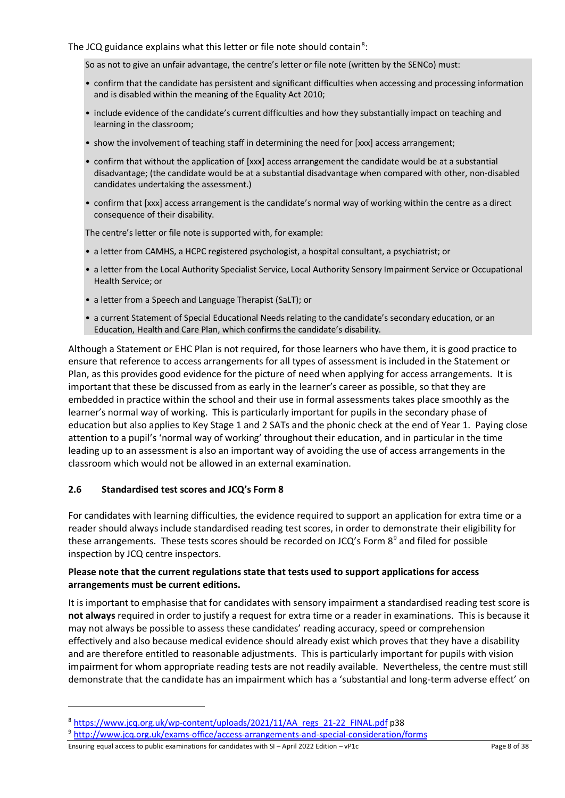### The JCQ guidance explains what this letter or file note should contain<sup>[8](#page-7-1)</sup>:

#### So as not to give an unfair advantage, the centre's letter or file note (written by the SENCo) must:

- confirm that the candidate has persistent and significant difficulties when accessing and processing information and is disabled within the meaning of the Equality Act 2010;
- include evidence of the candidate's current difficulties and how they substantially impact on teaching and learning in the classroom;
- show the involvement of teaching staff in determining the need for [xxx] access arrangement;
- confirm that without the application of [xxx] access arrangement the candidate would be at a substantial disadvantage; (the candidate would be at a substantial disadvantage when compared with other, non-disabled candidates undertaking the assessment.)
- confirm that [xxx] access arrangement is the candidate's normal way of working within the centre as a direct consequence of their disability.

The centre's letter or file note is supported with, for example:

- a letter from CAMHS, a HCPC registered psychologist, a hospital consultant, a psychiatrist; or
- a letter from the Local Authority Specialist Service, Local Authority Sensory Impairment Service or Occupational Health Service; or
- a letter from a Speech and Language Therapist (SaLT); or
- a current Statement of Special Educational Needs relating to the candidate's secondary education, or an Education, Health and Care Plan, which confirms the candidate's disability.

Although a Statement or EHC Plan is not required, for those learners who have them, it is good practice to ensure that reference to access arrangements for all types of assessment is included in the Statement or Plan, as this provides good evidence for the picture of need when applying for access arrangements. It is important that these be discussed from as early in the learner's career as possible, so that they are embedded in practice within the school and their use in formal assessments takes place smoothly as the learner's normal way of working. This is particularly important for pupils in the secondary phase of education but also applies to Key Stage 1 and 2 SATs and the phonic check at the end of Year 1. Paying close attention to a pupil's 'normal way of working' throughout their education, and in particular in the time leading up to an assessment is also an important way of avoiding the use of access arrangements in the classroom which would not be allowed in an external examination.

### <span id="page-7-0"></span>**2.6 Standardised test scores and JCQ's Form 8**

For candidates with learning difficulties, the evidence required to support an application for extra time or a reader should always include standardised reading test scores, in order to demonstrate their eligibility for these arrangements. These tests scores should be recorded on JCQ's Form  $8<sup>9</sup>$  $8<sup>9</sup>$  $8<sup>9</sup>$  and filed for possible inspection by JCQ centre inspectors.

### **Please note that the current regulations state that tests used to support applications for access arrangements must be current editions.**

It is important to emphasise that for candidates with sensory impairment a standardised reading test score is **not always** required in order to justify a request for extra time or a reader in examinations. This is because it may not always be possible to assess these candidates' reading accuracy, speed or comprehension effectively and also because medical evidence should already exist which proves that they have a disability and are therefore entitled to reasonable adjustments. This is particularly important for pupils with vision impairment for whom appropriate reading tests are not readily available. Nevertheless, the centre must still demonstrate that the candidate has an impairment which has a 'substantial and long-term adverse effect' on

Ensuring equal access to public examinations for candidates with SI – April 2022 Edition – vP1c Page 8 of 38 Page 8 of 38

<span id="page-7-1"></span><sup>8</sup> [https://www.jcq.org.uk/wp-content/uploads/2021/11/AA\\_regs\\_21-22\\_FINAL.pdf](https://www.jcq.org.uk/wp-content/uploads/2021/11/AA_regs_21-22_FINAL.pdf) p38

<span id="page-7-2"></span><sup>9</sup> <http://www.jcq.org.uk/exams-office/access-arrangements-and-special-consideration/forms>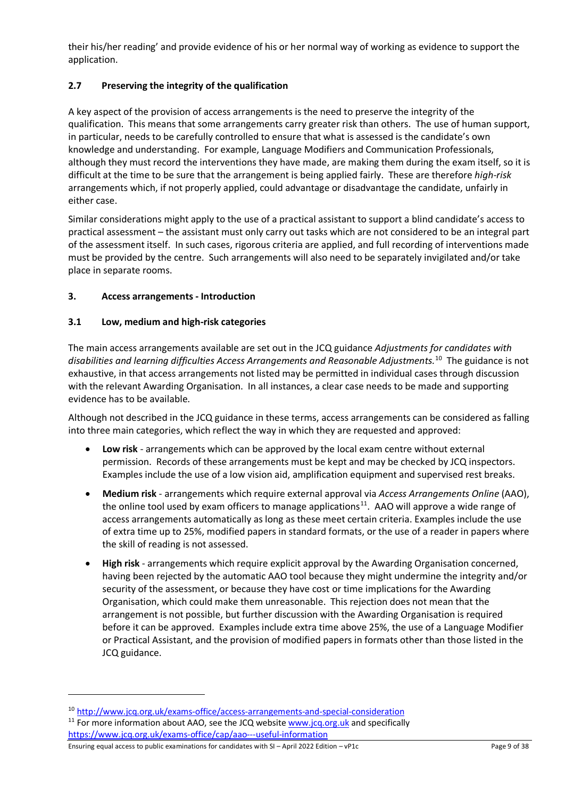their his/her reading' and provide evidence of his or her normal way of working as evidence to support the application.

# <span id="page-8-0"></span>**2.7 Preserving the integrity of the qualification**

A key aspect of the provision of access arrangements is the need to preserve the integrity of the qualification. This means that some arrangements carry greater risk than others. The use of human support, in particular, needs to be carefully controlled to ensure that what is assessed is the candidate's own knowledge and understanding. For example, Language Modifiers and Communication Professionals, although they must record the interventions they have made, are making them during the exam itself, so it is difficult at the time to be sure that the arrangement is being applied fairly. These are therefore *high-risk* arrangements which, if not properly applied, could advantage or disadvantage the candidate, unfairly in either case.

Similar considerations might apply to the use of a practical assistant to support a blind candidate's access to practical assessment – the assistant must only carry out tasks which are not considered to be an integral part of the assessment itself. In such cases, rigorous criteria are applied, and full recording of interventions made must be provided by the centre. Such arrangements will also need to be separately invigilated and/or take place in separate rooms.

# <span id="page-8-1"></span>**3. Access arrangements - Introduction**

## <span id="page-8-2"></span>**3.1 Low, medium and high-risk categories**

The main access arrangements available are set out in the JCQ guidance *Adjustments for candidates with disabilities and learning difficulties Access Arrangements and Reasonable Adjustments.* [10](#page-8-3) The guidance is not exhaustive, in that access arrangements not listed may be permitted in individual cases through discussion with the relevant Awarding Organisation. In all instances, a clear case needs to be made and supporting evidence has to be available.

Although not described in the JCQ guidance in these terms, access arrangements can be considered as falling into three main categories, which reflect the way in which they are requested and approved:

- **Low risk** arrangements which can be approved by the local exam centre without external permission. Records of these arrangements must be kept and may be checked by JCQ inspectors. Examples include the use of a low vision aid, amplification equipment and supervised rest breaks.
- **Medium risk** arrangements which require external approval via *Access Arrangements Online* (AAO), the online tool used by exam officers to manage applications<sup>[11](#page-8-4)</sup>. AAO will approve a wide range of access arrangements automatically as long as these meet certain criteria. Examples include the use of extra time up to 25%, modified papers in standard formats, or the use of a reader in papers where the skill of reading is not assessed.
- **High risk** arrangements which require explicit approval by the Awarding Organisation concerned, having been rejected by the automatic AAO tool because they might undermine the integrity and/or security of the assessment, or because they have cost or time implications for the Awarding Organisation, which could make them unreasonable. This rejection does not mean that the arrangement is not possible, but further discussion with the Awarding Organisation is required before it can be approved. Examples include extra time above 25%, the use of a Language Modifier or Practical Assistant, and the provision of modified papers in formats other than those listed in the JCQ guidance.

<span id="page-8-3"></span><sup>10</sup> <http://www.jcq.org.uk/exams-office/access-arrangements-and-special-consideration>

<span id="page-8-4"></span> $11$  For more information about AAO, see the JCQ website [www.jcq.org.uk](http://www.jcq.org.uk/) and specifically <https://www.jcq.org.uk/exams-office/cap/aao---useful-information>

Ensuring equal access to public examinations for candidates with SI – April 2022 Edition – vP1c Page 9 of 38 Page 9 of 38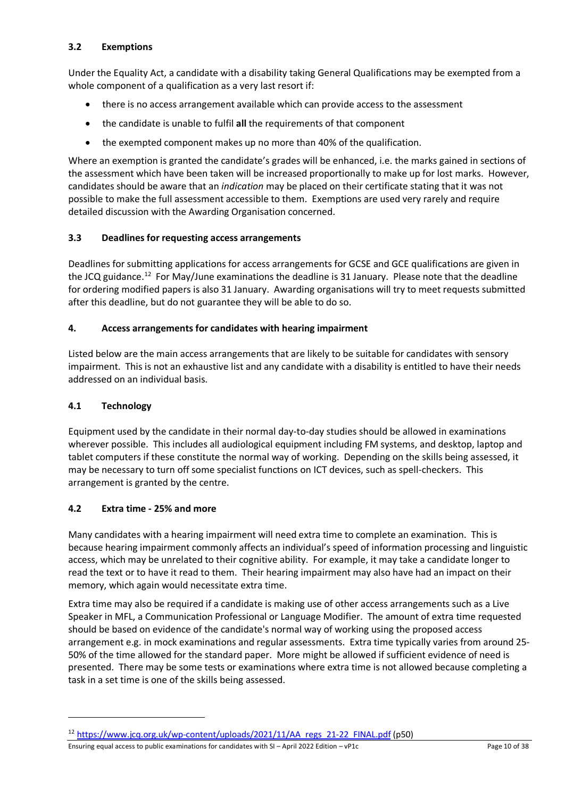# <span id="page-9-0"></span>**3.2 Exemptions**

Under the Equality Act, a candidate with a disability taking General Qualifications may be exempted from a whole component of a qualification as a very last resort if:

- there is no access arrangement available which can provide access to the assessment
- the candidate is unable to fulfil **all** the requirements of that component
- the exempted component makes up no more than 40% of the qualification.

Where an exemption is granted the candidate's grades will be enhanced, i.e. the marks gained in sections of the assessment which have been taken will be increased proportionally to make up for lost marks. However, candidates should be aware that an *indication* may be placed on their certificate stating that it was not possible to make the full assessment accessible to them. Exemptions are used very rarely and require detailed discussion with the Awarding Organisation concerned.

# <span id="page-9-1"></span>**3.3 Deadlines for requesting access arrangements**

Deadlines for submitting applications for access arrangements for GCSE and GCE qualifications are given in the JCQ guidance.<sup>12</sup> For May/June examinations the deadline is 31 January. Please note that the deadline for ordering modified papers is also 31 January. Awarding organisations will try to meet requests submitted after this deadline, but do not guarantee they will be able to do so.

# <span id="page-9-2"></span>**4. Access arrangements for candidates with hearing impairment**

Listed below are the main access arrangements that are likely to be suitable for candidates with sensory impairment. This is not an exhaustive list and any candidate with a disability is entitled to have their needs addressed on an individual basis.

# <span id="page-9-3"></span>**4.1 Technology**

Equipment used by the candidate in their normal day-to-day studies should be allowed in examinations wherever possible. This includes all audiological equipment including FM systems, and desktop, laptop and tablet computers if these constitute the normal way of working. Depending on the skills being assessed, it may be necessary to turn off some specialist functions on ICT devices, such as spell-checkers. This arrangement is granted by the centre.

# <span id="page-9-4"></span>**4.2 Extra time - 25% and more**

Many candidates with a hearing impairment will need extra time to complete an examination. This is because hearing impairment commonly affects an individual's speed of information processing and linguistic access, which may be unrelated to their cognitive ability. For example, it may take a candidate longer to read the text or to have it read to them. Their hearing impairment may also have had an impact on their memory, which again would necessitate extra time.

Extra time may also be required if a candidate is making use of other access arrangements such as a Live Speaker in MFL, a Communication Professional or Language Modifier. The amount of extra time requested should be based on evidence of the candidate's normal way of working using the proposed access arrangement e.g. in mock examinations and regular assessments. Extra time typically varies from around 25- 50% of the time allowed for the standard paper. More might be allowed if sufficient evidence of need is presented. There may be some tests or examinations where extra time is not allowed because completing a task in a set time is one of the skills being assessed.

Ensuring equal access to public examinations for candidates with SI – April 2022 Edition – vP1c Page 10 of 38

<span id="page-9-5"></span><sup>&</sup>lt;sup>12</sup> [https://www.jcq.org.uk/wp-content/uploads/2021/11/AA\\_regs\\_21-22\\_FINAL.pdf](https://www.jcq.org.uk/wp-content/uploads/2021/11/AA_regs_21-22_FINAL.pdf) (p50)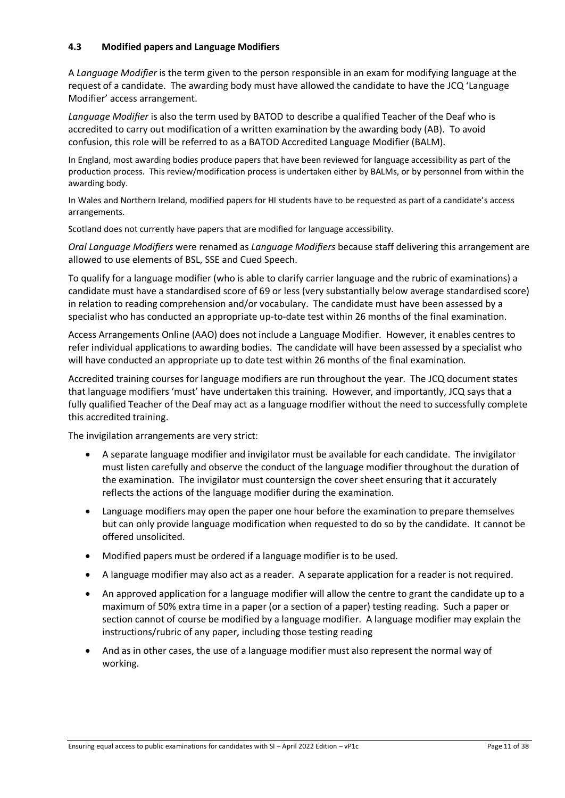## <span id="page-10-0"></span>**4.3 Modified papers and Language Modifiers**

A *Language Modifier* is the term given to the person responsible in an exam for modifying language at the request of a candidate. The awarding body must have allowed the candidate to have the JCQ 'Language Modifier' access arrangement.

*Language Modifier* is also the term used by BATOD to describe a qualified Teacher of the Deaf who is accredited to carry out modification of a written examination by the awarding body (AB). To avoid confusion, this role will be referred to as a BATOD Accredited Language Modifier (BALM).

In England, most awarding bodies produce papers that have been reviewed for language accessibility as part of the production process. This review/modification process is undertaken either by BALMs, or by personnel from within the awarding body.

In Wales and Northern Ireland, modified papers for HI students have to be requested as part of a candidate's access arrangements.

Scotland does not currently have papers that are modified for language accessibility.

*Oral Language Modifiers* were renamed as *Language Modifiers* because staff delivering this arrangement are allowed to use elements of BSL, SSE and Cued Speech.

To qualify for a language modifier (who is able to clarify carrier language and the rubric of examinations) a candidate must have a standardised score of 69 or less (very substantially below average standardised score) in relation to reading comprehension and/or vocabulary. The candidate must have been assessed by a specialist who has conducted an appropriate up-to-date test within 26 months of the final examination.

Access Arrangements Online (AAO) does not include a Language Modifier. However, it enables centres to refer individual applications to awarding bodies. The candidate will have been assessed by a specialist who will have conducted an appropriate up to date test within 26 months of the final examination.

Accredited training courses for language modifiers are run throughout the year. The JCQ document states that language modifiers 'must' have undertaken this training. However, and importantly, JCQ says that a fully qualified Teacher of the Deaf may act as a language modifier without the need to successfully complete this accredited training.

The invigilation arrangements are very strict:

- A separate language modifier and invigilator must be available for each candidate. The invigilator must listen carefully and observe the conduct of the language modifier throughout the duration of the examination. The invigilator must countersign the cover sheet ensuring that it accurately reflects the actions of the language modifier during the examination.
- Language modifiers may open the paper one hour before the examination to prepare themselves but can only provide language modification when requested to do so by the candidate. It cannot be offered unsolicited.
- Modified papers must be ordered if a language modifier is to be used.
- A language modifier may also act as a reader. A separate application for a reader is not required.
- An approved application for a language modifier will allow the centre to grant the candidate up to a maximum of 50% extra time in a paper (or a section of a paper) testing reading. Such a paper or section cannot of course be modified by a language modifier. A language modifier may explain the instructions/rubric of any paper, including those testing reading
- And as in other cases, the use of a language modifier must also represent the normal way of working.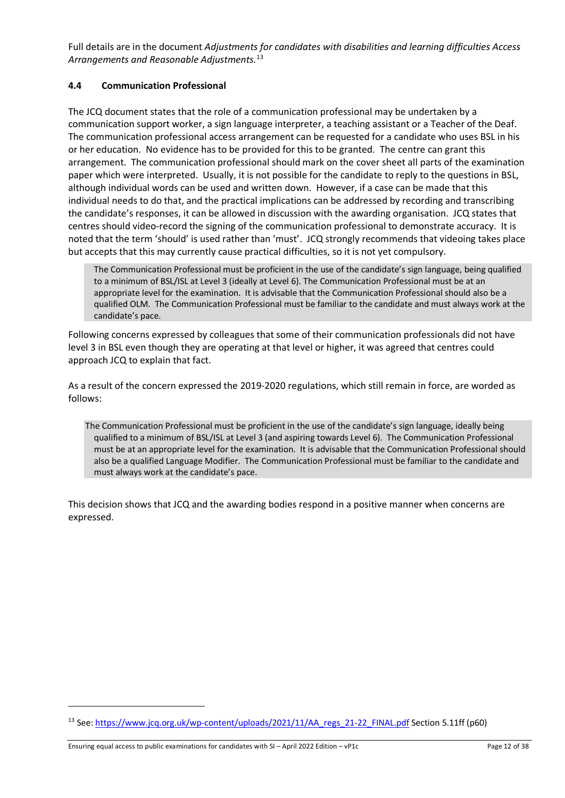Full details are in the document *Adjustments for candidates with disabilities and learning difficulties Access Arrangements and Reasonable Adjustments.* [13](#page-11-1)

# <span id="page-11-0"></span>**4.4 Communication Professional**

The JCQ document states that the role of a communication professional may be undertaken by a communication support worker, a sign language interpreter, a teaching assistant or a Teacher of the Deaf. The communication professional access arrangement can be requested for a candidate who uses BSL in his or her education. No evidence has to be provided for this to be granted. The centre can grant this arrangement. The communication professional should mark on the cover sheet all parts of the examination paper which were interpreted. Usually, it is not possible for the candidate to reply to the questions in BSL, although individual words can be used and written down. However, if a case can be made that this individual needs to do that, and the practical implications can be addressed by recording and transcribing the candidate's responses, it can be allowed in discussion with the awarding organisation. JCQ states that centres should video-record the signing of the communication professional to demonstrate accuracy. It is noted that the term 'should' is used rather than 'must'. JCQ strongly recommends that videoing takes place but accepts that this may currently cause practical difficulties, so it is not yet compulsory.

The Communication Professional must be proficient in the use of the candidate's sign language, being qualified to a minimum of BSL/ISL at Level 3 (ideally at Level 6). The Communication Professional must be at an appropriate level for the examination. It is advisable that the Communication Professional should also be a qualified OLM. The Communication Professional must be familiar to the candidate and must always work at the candidate's pace.

Following concerns expressed by colleagues that some of their communication professionals did not have level 3 in BSL even though they are operating at that level or higher, it was agreed that centres could approach JCQ to explain that fact.

As a result of the concern expressed the 2019-2020 regulations, which still remain in force, are worded as follows:

The Communication Professional must be proficient in the use of the candidate's sign language, ideally being qualified to a minimum of BSL/ISL at Level 3 (and aspiring towards Level 6). The Communication Professional must be at an appropriate level for the examination. It is advisable that the Communication Professional should also be a qualified Language Modifier. The Communication Professional must be familiar to the candidate and must always work at the candidate's pace.

This decision shows that JCQ and the awarding bodies respond in a positive manner when concerns are expressed.

<span id="page-11-1"></span><sup>&</sup>lt;sup>13</sup> See[: https://www.jcq.org.uk/wp-content/uploads/2021/11/AA\\_regs\\_21-22\\_FINAL.pdf](https://www.jcq.org.uk/wp-content/uploads/2021/11/AA_regs_21-22_FINAL.pdf) Section 5.11ff (p60)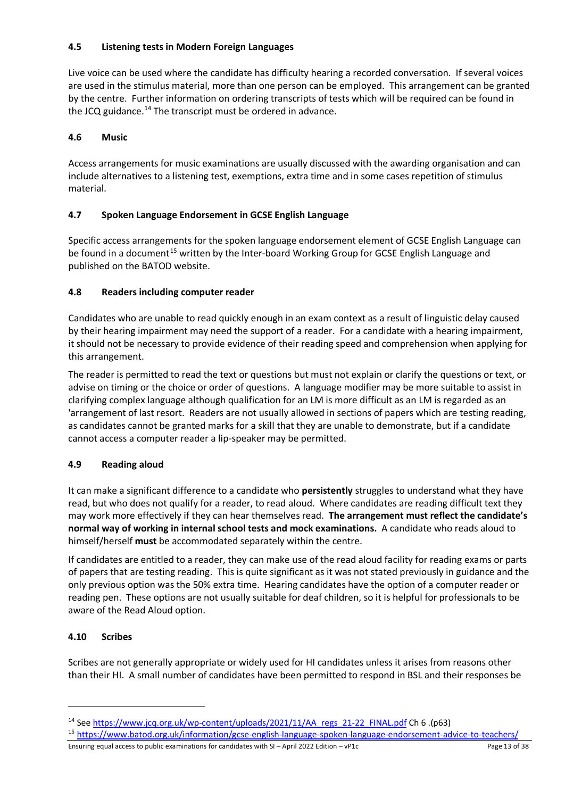# <span id="page-12-0"></span>**4.5 Listening tests in Modern Foreign Languages**

Live voice can be used where the candidate has difficulty hearing a recorded conversation. If several voices are used in the stimulus material, more than one person can be employed. This arrangement can be granted by the centre. Further information on ordering transcripts of tests which will be required can be found in the JCQ guidance.<sup>[14](#page-12-6)</sup> The transcript must be ordered in advance.

# <span id="page-12-1"></span>**4.6 Music**

Access arrangements for music examinations are usually discussed with the awarding organisation and can include alternatives to a listening test, exemptions, extra time and in some cases repetition of stimulus material.

# <span id="page-12-2"></span>**4.7 Spoken Language Endorsement in GCSE English Language**

Specific access arrangements for the spoken language endorsement element of GCSE English Language can be found in a document<sup>[15](#page-12-7)</sup> written by the Inter-board Working Group for GCSE English Language and published on the BATOD website.

# <span id="page-12-3"></span>**4.8 Readers including computer reader**

Candidates who are unable to read quickly enough in an exam context as a result of linguistic delay caused by their hearing impairment may need the support of a reader. For a candidate with a hearing impairment, it should not be necessary to provide evidence of their reading speed and comprehension when applying for this arrangement.

The reader is permitted to read the text or questions but must not explain or clarify the questions or text, or advise on timing or the choice or order of questions. A language modifier may be more suitable to assist in clarifying complex language although qualification for an LM is more difficult as an LM is regarded as an 'arrangement of last resort. Readers are not usually allowed in sections of papers which are testing reading, as candidates cannot be granted marks for a skill that they are unable to demonstrate, but if a candidate cannot access a computer reader a lip-speaker may be permitted.

# <span id="page-12-4"></span>**4.9 Reading aloud**

It can make a significant difference to a candidate who **persistently** struggles to understand what they have read, but who does not qualify for a reader, to read aloud. Where candidates are reading difficult text they may work more effectively if they can hear themselves read. **The arrangement must reflect the candidate's normal way of working in internal school tests and mock examinations.** A candidate who reads aloud to himself/herself **must** be accommodated separately within the centre.

If candidates are entitled to a reader, they can make use of the read aloud facility for reading exams or parts of papers that are testing reading. This is quite significant as it was not stated previously in guidance and the only previous option was the 50% extra time. Hearing candidates have the option of a computer reader or reading pen. These options are not usually suitable for deaf children, so it is helpful for professionals to be aware of the Read Aloud option.

# <span id="page-12-5"></span>**4.10 Scribes**

Scribes are not generally appropriate or widely used for HI candidates unless it arises from reasons other than their HI. A small number of candidates have been permitted to respond in BSL and their responses be

<span id="page-12-7"></span>15 <https://www.batod.org.uk/information/gcse-english-language-spoken-language-endorsement-advice-to-teachers/>

Ensuring equal access to public examinations for candidates with SI – April 2022 Edition – vP1c Page 13 of 38

<span id="page-12-6"></span><sup>14</sup> [See](http://www.jcq.org.uk/exams-office/access-arrangements-and-special-consideration/regulations-and-guidance/access-arrangements-and-reasonable-adjustments-2015-2016) [https://www.jcq.org.uk/wp-content/uploads/2021/11/AA\\_regs\\_21-22\\_FINAL.pdf](https://www.jcq.org.uk/wp-content/uploads/2021/11/AA_regs_21-22_FINAL.pdf) Ch 6 .(p63)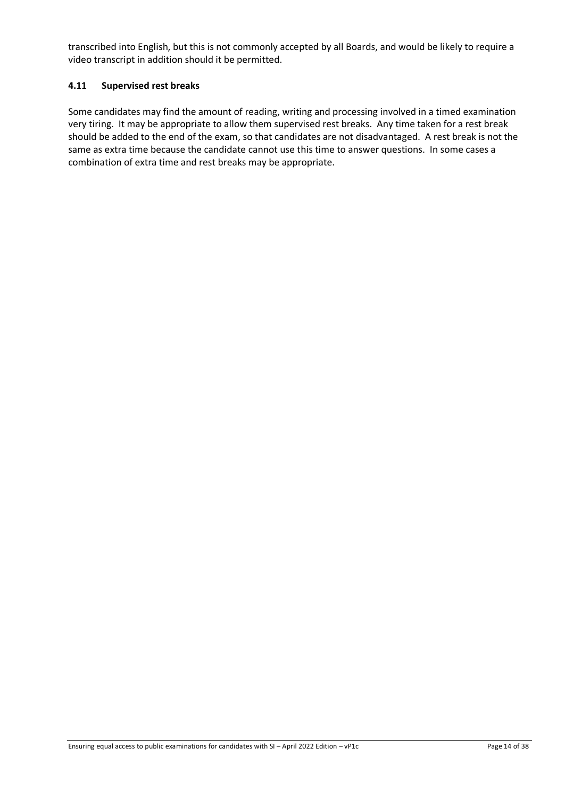transcribed into English, but this is not commonly accepted by all Boards, and would be likely to require a video transcript in addition should it be permitted.

### <span id="page-13-0"></span>**4.11 Supervised rest breaks**

Some candidates may find the amount of reading, writing and processing involved in a timed examination very tiring. It may be appropriate to allow them supervised rest breaks. Any time taken for a rest break should be added to the end of the exam, so that candidates are not disadvantaged. A rest break is not the same as extra time because the candidate cannot use this time to answer questions. In some cases a combination of extra time and rest breaks may be appropriate.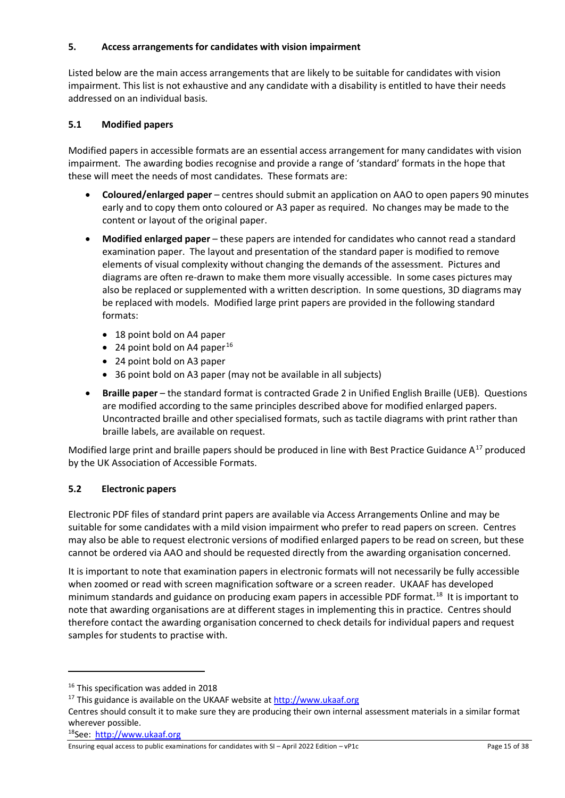## <span id="page-14-0"></span>**5. Access arrangements for candidates with vision impairment**

Listed below are the main access arrangements that are likely to be suitable for candidates with vision impairment. This list is not exhaustive and any candidate with a disability is entitled to have their needs addressed on an individual basis.

## <span id="page-14-1"></span>**5.1 Modified papers**

Modified papers in accessible formats are an essential access arrangement for many candidates with vision impairment. The awarding bodies recognise and provide a range of 'standard' formats in the hope that these will meet the needs of most candidates. These formats are:

- **Coloured/enlarged paper** centres should submit an application on AAO to open papers 90 minutes early and to copy them onto coloured or A3 paper as required. No changes may be made to the content or layout of the original paper.
- **Modified enlarged paper** these papers are intended for candidates who cannot read a standard examination paper. The layout and presentation of the standard paper is modified to remove elements of visual complexity without changing the demands of the assessment. Pictures and diagrams are often re-drawn to make them more visually accessible. In some cases pictures may also be replaced or supplemented with a written description. In some questions, 3D diagrams may be replaced with models. Modified large print papers are provided in the following standard formats:
	- 18 point bold on A4 paper
	- 24 point bold on A4 paper<sup>[16](#page-14-3)</sup>
	- 24 point bold on A3 paper
	- 36 point bold on A3 paper (may not be available in all subjects)
- **Braille paper** the standard format is contracted Grade 2 in Unified English Braille (UEB). Questions are modified according to the same principles described above for modified enlarged papers. Uncontracted braille and other specialised formats, such as tactile diagrams with print rather than braille labels, are available on request.

Modified large print and braille papers should be produced in line with Best Practice Guidance  $A^{17}$  $A^{17}$  $A^{17}$  produced by the UK Association of Accessible Formats.

# <span id="page-14-2"></span>**5.2 Electronic papers**

Electronic PDF files of standard print papers are available via Access Arrangements Online and may be suitable for some candidates with a mild vision impairment who prefer to read papers on screen. Centres may also be able to request electronic versions of modified enlarged papers to be read on screen, but these cannot be ordered via AAO and should be requested directly from the awarding organisation concerned.

It is important to note that examination papers in electronic formats will not necessarily be fully accessible when zoomed or read with screen magnification software or a screen reader. UKAAF has developed minimum standards and guidance on producing exam papers in accessible PDF format. [18](#page-14-5) It is important to note that awarding organisations are at different stages in implementing this in practice. Centres should therefore contact the awarding organisation concerned to check details for individual papers and request samples for students to practise with.

<span id="page-14-5"></span>18See: [http://www.ukaaf.org](http://www.ukaaf.org/)

<span id="page-14-3"></span><sup>&</sup>lt;sup>16</sup> This specification was added in 2018

<span id="page-14-4"></span><sup>&</sup>lt;sup>17</sup> This guidance is available on the UKAAF website a[t http://www.ukaaf.org](http://www.ukaaf.org/)

Centres should consult it to make sure they are producing their own internal assessment materials in a similar format wherever possible.

Ensuring equal access to public examinations for candidates with SI – April 2022 Edition – vP1c Page 15 of 38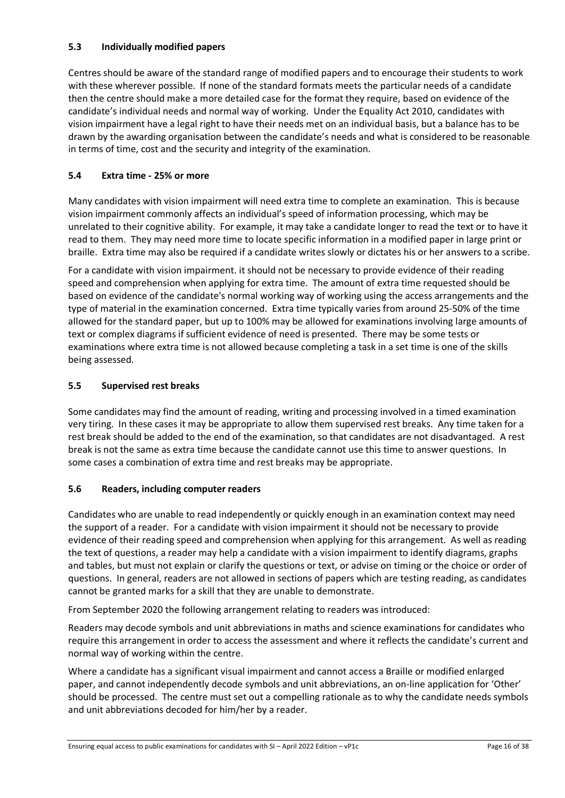# <span id="page-15-0"></span>**5.3 Individually modified papers**

Centres should be aware of the standard range of modified papers and to encourage their students to work with these wherever possible. If none of the standard formats meets the particular needs of a candidate then the centre should make a more detailed case for the format they require, based on evidence of the candidate's individual needs and normal way of working. Under the Equality Act 2010, candidates with vision impairment have a legal right to have their needs met on an individual basis, but a balance has to be drawn by the awarding organisation between the candidate's needs and what is considered to be reasonable in terms of time, cost and the security and integrity of the examination.

# <span id="page-15-1"></span>**5.4 Extra time - 25% or more**

Many candidates with vision impairment will need extra time to complete an examination. This is because vision impairment commonly affects an individual's speed of information processing, which may be unrelated to their cognitive ability. For example, it may take a candidate longer to read the text or to have it read to them. They may need more time to locate specific information in a modified paper in large print or braille. Extra time may also be required if a candidate writes slowly or dictates his or her answers to a scribe.

For a candidate with vision impairment. it should not be necessary to provide evidence of their reading speed and comprehension when applying for extra time. The amount of extra time requested should be based on evidence of the candidate's normal working way of working using the access arrangements and the type of material in the examination concerned. Extra time typically varies from around 25-50% of the time allowed for the standard paper, but up to 100% may be allowed for examinations involving large amounts of text or complex diagrams if sufficient evidence of need is presented. There may be some tests or examinations where extra time is not allowed because completing a task in a set time is one of the skills being assessed.

## <span id="page-15-2"></span>**5.5 Supervised rest breaks**

Some candidates may find the amount of reading, writing and processing involved in a timed examination very tiring. In these cases it may be appropriate to allow them supervised rest breaks. Any time taken for a rest break should be added to the end of the examination, so that candidates are not disadvantaged. A rest break is not the same as extra time because the candidate cannot use this time to answer questions. In some cases a combination of extra time and rest breaks may be appropriate.

### <span id="page-15-3"></span>**5.6 Readers, including computer readers**

Candidates who are unable to read independently or quickly enough in an examination context may need the support of a reader. For a candidate with vision impairment it should not be necessary to provide evidence of their reading speed and comprehension when applying for this arrangement. As well as reading the text of questions, a reader may help a candidate with a vision impairment to identify diagrams, graphs and tables, but must not explain or clarify the questions or text, or advise on timing or the choice or order of questions. In general, readers are not allowed in sections of papers which are testing reading, as candidates cannot be granted marks for a skill that they are unable to demonstrate.

From September 2020 the following arrangement relating to readers was introduced:

Readers may decode symbols and unit abbreviations in maths and science examinations for candidates who require this arrangement in order to access the assessment and where it reflects the candidate's current and normal way of working within the centre.

Where a candidate has a significant visual impairment and cannot access a Braille or modified enlarged paper, and cannot independently decode symbols and unit abbreviations, an on-line application for 'Other' should be processed. The centre must set out a compelling rationale as to why the candidate needs symbols and unit abbreviations decoded for him/her by a reader.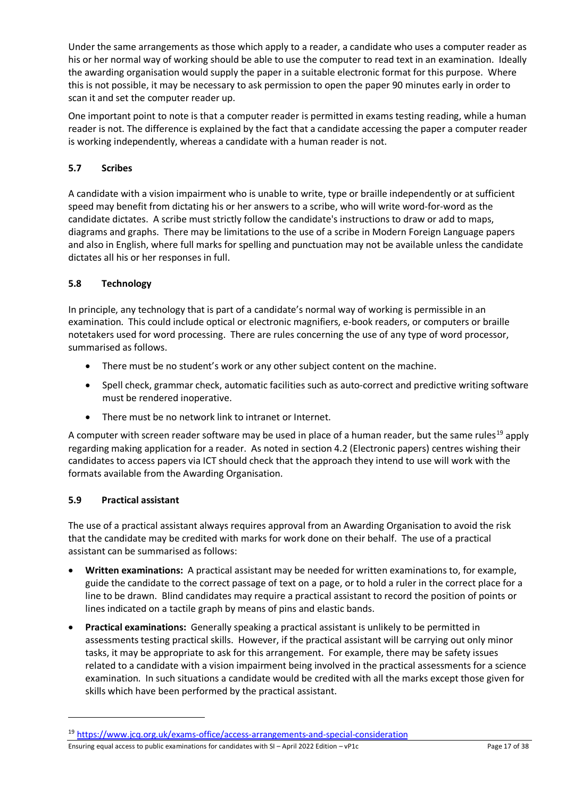Under the same arrangements as those which apply to a reader, a candidate who uses a computer reader as his or her normal way of working should be able to use the computer to read text in an examination. Ideally the awarding organisation would supply the paper in a suitable electronic format for this purpose. Where this is not possible, it may be necessary to ask permission to open the paper 90 minutes early in order to scan it and set the computer reader up.

One important point to note is that a computer reader is permitted in exams testing reading, while a human reader is not. The difference is explained by the fact that a candidate accessing the paper a computer reader is working independently, whereas a candidate with a human reader is not.

# <span id="page-16-0"></span>**5.7 Scribes**

A candidate with a vision impairment who is unable to write, type or braille independently or at sufficient speed may benefit from dictating his or her answers to a scribe, who will write word-for-word as the candidate dictates. A scribe must strictly follow the candidate's instructions to draw or add to maps, diagrams and graphs. There may be limitations to the use of a scribe in Modern Foreign Language papers and also in English, where full marks for spelling and punctuation may not be available unless the candidate dictates all his or her responses in full.

# <span id="page-16-1"></span>**5.8 Technology**

In principle, any technology that is part of a candidate's normal way of working is permissible in an examination. This could include optical or electronic magnifiers, e-book readers, or computers or braille notetakers used for word processing. There are rules concerning the use of any type of word processor, summarised as follows.

- There must be no student's work or any other subject content on the machine.
- Spell check, grammar check, automatic facilities such as auto-correct and predictive writing software must be rendered inoperative.
- There must be no network link to intranet or Internet.

A computer with screen reader software may be used in place of a human reader, but the same rules<sup>[19](#page-16-3)</sup> apply regarding making application for a reader. As noted in section 4.2 (Electronic papers) centres wishing their candidates to access papers via ICT should check that the approach they intend to use will work with the formats available from the Awarding Organisation.

# <span id="page-16-2"></span>**5.9 Practical assistant**

The use of a practical assistant always requires approval from an Awarding Organisation to avoid the risk that the candidate may be credited with marks for work done on their behalf. The use of a practical assistant can be summarised as follows:

- **Written examinations:** A practical assistant may be needed for written examinations to, for example, guide the candidate to the correct passage of text on a page, or to hold a ruler in the correct place for a line to be drawn. Blind candidates may require a practical assistant to record the position of points or lines indicated on a tactile graph by means of pins and elastic bands.
- **Practical examinations:** Generally speaking a practical assistant is unlikely to be permitted in assessments testing practical skills. However, if the practical assistant will be carrying out only minor tasks, it may be appropriate to ask for this arrangement. For example, there may be safety issues related to a candidate with a vision impairment being involved in the practical assessments for a science examination. In such situations a candidate would be credited with all the marks except those given for skills which have been performed by the practical assistant.

Ensuring equal access to public examinations for candidates with SI – April 2022 Edition – vP1c Page 17 of 38

<span id="page-16-3"></span><sup>&</sup>lt;sup>19</sup> <https://www.jcq.org.uk/exams-office/access-arrangements-and-special-consideration>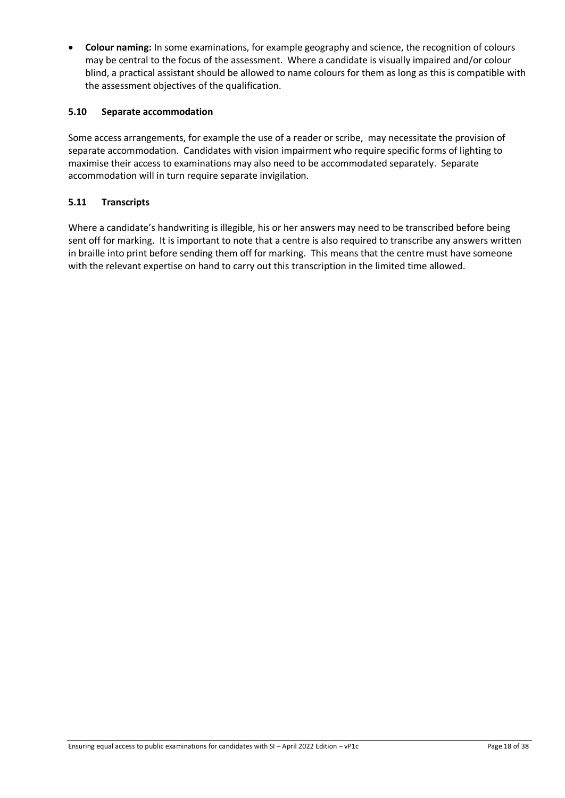• **Colour naming:** In some examinations, for example geography and science, the recognition of colours may be central to the focus of the assessment. Where a candidate is visually impaired and/or colour blind, a practical assistant should be allowed to name colours for them as long as this is compatible with the assessment objectives of the qualification.

### <span id="page-17-0"></span>**5.10 Separate accommodation**

Some access arrangements, for example the use of a reader or scribe, may necessitate the provision of separate accommodation. Candidates with vision impairment who require specific forms of lighting to maximise their access to examinations may also need to be accommodated separately. Separate accommodation will in turn require separate invigilation.

# <span id="page-17-1"></span>**5.11 Transcripts**

Where a candidate's handwriting is illegible, his or her answers may need to be transcribed before being sent off for marking. It is important to note that a centre is also required to transcribe any answers written in braille into print before sending them off for marking. This means that the centre must have someone with the relevant expertise on hand to carry out this transcription in the limited time allowed.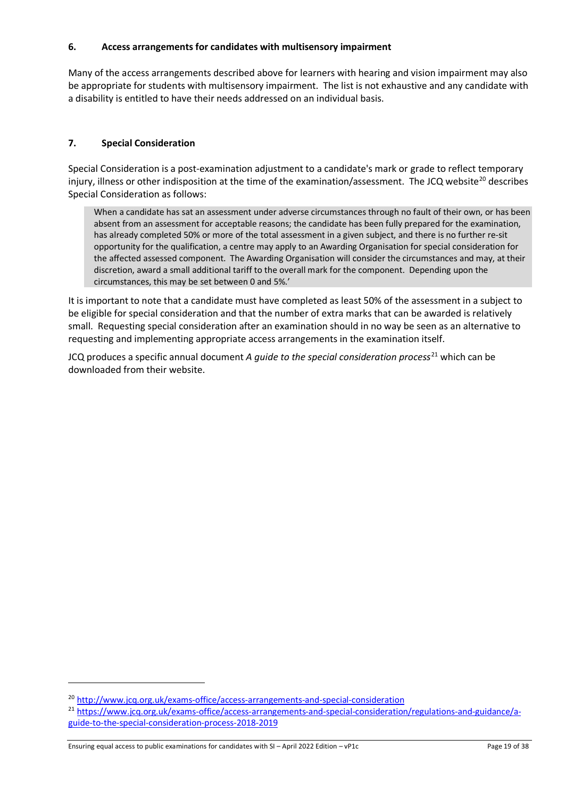## <span id="page-18-0"></span>**6. Access arrangements for candidates with multisensory impairment**

Many of the access arrangements described above for learners with hearing and vision impairment may also be appropriate for students with multisensory impairment. The list is not exhaustive and any candidate with a disability is entitled to have their needs addressed on an individual basis.

# <span id="page-18-1"></span>**7. Special Consideration**

Special Consideration is a post-examination adjustment to a candidate's mark or grade to reflect temporary injury, illness or other indisposition at the time of the examination/assessment. The JCQ website<sup>20</sup> describes Special Consideration as follows:

When a candidate has sat an assessment under adverse circumstances through no fault of their own, or has been absent from an assessment for acceptable reasons; the candidate has been fully prepared for the examination, has already completed 50% or more of the total assessment in a given subject, and there is no further re-sit opportunity for the qualification, a centre may apply to an Awarding Organisation for special consideration for the affected assessed component. The Awarding Organisation will consider the circumstances and may, at their discretion, award a small additional tariff to the overall mark for the component. Depending upon the circumstances, this may be set between 0 and 5%.'

It is important to note that a candidate must have completed as least 50% of the assessment in a subject to be eligible for special consideration and that the number of extra marks that can be awarded is relatively small. Requesting special consideration after an examination should in no way be seen as an alternative to requesting and implementing appropriate access arrangements in the examination itself.

JCQ produces a specific annual document *A quide to the special consideration process*<sup>[21](#page-18-3)</sup> which can be downloaded from their website.

<span id="page-18-2"></span><sup>20</sup> <http://www.jcq.org.uk/exams-office/access-arrangements-and-special-consideration>

<span id="page-18-3"></span><sup>&</sup>lt;sup>21</sup> [https://www.jcq.org.uk/exams-office/access-arrangements-and-special-consideration/regulations-and-guidance/a](https://www.jcq.org.uk/exams-office/access-arrangements-and-special-consideration/regulations-and-guidance/a-guide-to-the-special-consideration-process-2018-2019)[guide-to-the-special-consideration-process-2018-2019](https://www.jcq.org.uk/exams-office/access-arrangements-and-special-consideration/regulations-and-guidance/a-guide-to-the-special-consideration-process-2018-2019)

Ensuring equal access to public examinations for candidates with SI – April 2022 Edition – vP1c Page 19 of 38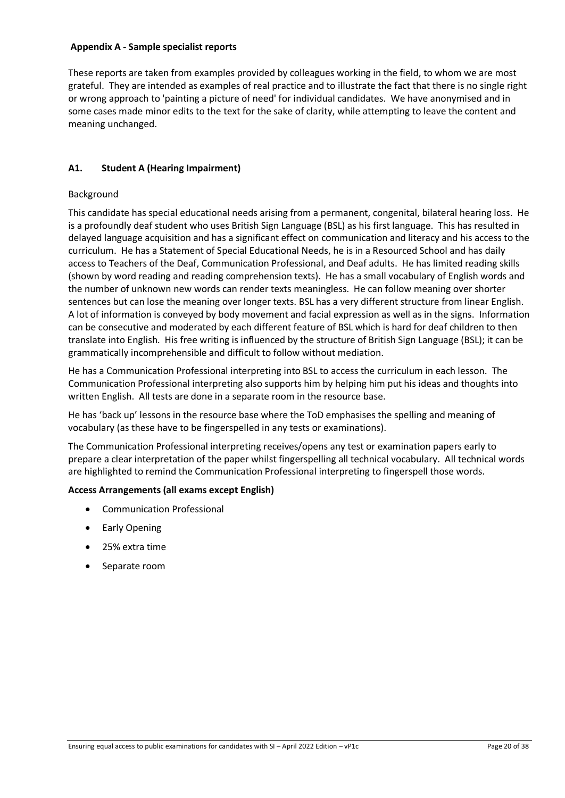### <span id="page-19-0"></span>**Appendix A - Sample specialist reports**

These reports are taken from examples provided by colleagues working in the field, to whom we are most grateful. They are intended as examples of real practice and to illustrate the fact that there is no single right or wrong approach to 'painting a picture of need' for individual candidates. We have anonymised and in some cases made minor edits to the text for the sake of clarity, while attempting to leave the content and meaning unchanged.

# <span id="page-19-1"></span>**A1. Student A (Hearing Impairment)**

# Background

This candidate has special educational needs arising from a permanent, congenital, bilateral hearing loss. He is a profoundly deaf student who uses British Sign Language (BSL) as his first language. This has resulted in delayed language acquisition and has a significant effect on communication and literacy and his access to the curriculum. He has a Statement of Special Educational Needs, he is in a Resourced School and has daily access to Teachers of the Deaf, Communication Professional, and Deaf adults. He has limited reading skills (shown by word reading and reading comprehension texts). He has a small vocabulary of English words and the number of unknown new words can render texts meaningless. He can follow meaning over shorter sentences but can lose the meaning over longer texts. BSL has a very different structure from linear English. A lot of information is conveyed by body movement and facial expression as well as in the signs. Information can be consecutive and moderated by each different feature of BSL which is hard for deaf children to then translate into English. His free writing is influenced by the structure of British Sign Language (BSL); it can be grammatically incomprehensible and difficult to follow without mediation.

He has a Communication Professional interpreting into BSL to access the curriculum in each lesson. The Communication Professional interpreting also supports him by helping him put his ideas and thoughts into written English. All tests are done in a separate room in the resource base.

He has 'back up' lessons in the resource base where the ToD emphasises the spelling and meaning of vocabulary (as these have to be fingerspelled in any tests or examinations).

The Communication Professional interpreting receives/opens any test or examination papers early to prepare a clear interpretation of the paper whilst fingerspelling all technical vocabulary. All technical words are highlighted to remind the Communication Professional interpreting to fingerspell those words.

# **Access Arrangements (all exams except English)**

- Communication Professional
- Early Opening
- 25% extra time
- Separate room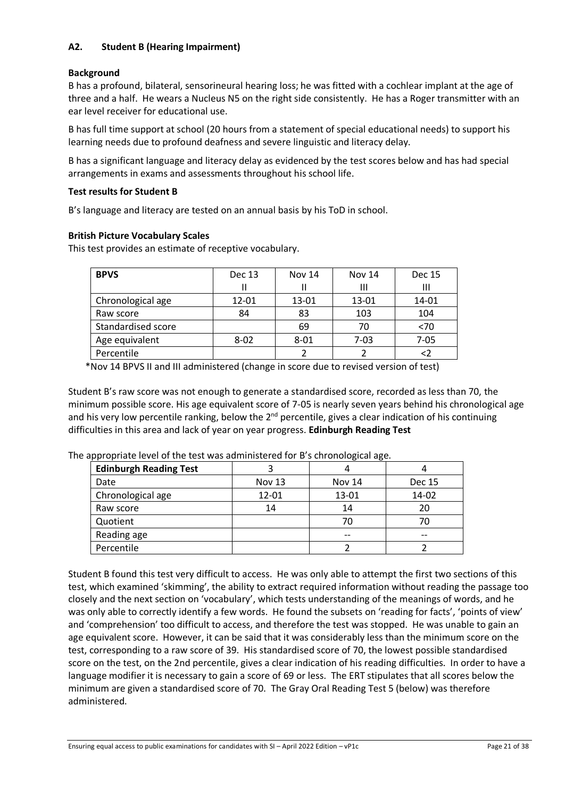# <span id="page-20-0"></span>**A2. Student B (Hearing Impairment)**

### **Background**

B has a profound, bilateral, sensorineural hearing loss; he was fitted with a cochlear implant at the age of three and a half. He wears a Nucleus N5 on the right side consistently. He has a Roger transmitter with an ear level receiver for educational use.

B has full time support at school (20 hours from a statement of special educational needs) to support his learning needs due to profound deafness and severe linguistic and literacy delay.

B has a significant language and literacy delay as evidenced by the test scores below and has had special arrangements in exams and assessments throughout his school life.

### **Test results for Student B**

B's language and literacy are tested on an annual basis by his ToD in school.

## **British Picture Vocabulary Scales**

This test provides an estimate of receptive vocabulary.

| <b>BPVS</b>        | <b>Dec 13</b> | <b>Nov 14</b> | <b>Nov 14</b> | <b>Dec 15</b> |
|--------------------|---------------|---------------|---------------|---------------|
|                    |               |               | Ш             | Ш             |
| Chronological age  | 12-01         | 13-01         | 13-01         | 14-01         |
| Raw score          | 84            | 83            | 103           | 104           |
| Standardised score |               | 69            | 70            | < 70          |
| Age equivalent     | $8 - 02$      | $8 - 01$      | $7 - 03$      | $7 - 05$      |
| Percentile         |               |               |               | $\langle$     |

\*Nov 14 BPVS II and III administered (change in score due to revised version of test)

Student B's raw score was not enough to generate a standardised score, recorded as less than 70, the minimum possible score. His age equivalent score of 7-05 is nearly seven years behind his chronological age and his very low percentile ranking, below the  $2<sup>nd</sup>$  percentile, gives a clear indication of his continuing difficulties in this area and lack of year on year progress. **Edinburgh Reading Test**

| <b>Edinburgh Reading Test</b> |               |        |               |  |  |
|-------------------------------|---------------|--------|---------------|--|--|
| Date                          | <b>Nov 13</b> | Nov 14 | <b>Dec 15</b> |  |  |
| Chronological age             | $12 - 01$     | 13-01  | 14-02         |  |  |
| Raw score                     | 14            | 14     |               |  |  |

Quotient 1 1 70 70 70 Reading age -- -- Percentile 2 2 2

The appropriate level of the test was administered for B's chronological age.

Student B found this test very difficult to access. He was only able to attempt the first two sections of this test, which examined 'skimming', the ability to extract required information without reading the passage too closely and the next section on 'vocabulary', which tests understanding of the meanings of words, and he was only able to correctly identify a few words. He found the subsets on 'reading for facts', 'points of view' and 'comprehension' too difficult to access, and therefore the test was stopped. He was unable to gain an age equivalent score. However, it can be said that it was considerably less than the minimum score on the test, corresponding to a raw score of 39. His standardised score of 70, the lowest possible standardised score on the test, on the 2nd percentile, gives a clear indication of his reading difficulties. In order to have a language modifier it is necessary to gain a score of 69 or less. The ERT stipulates that all scores below the minimum are given a standardised score of 70. The Gray Oral Reading Test 5 (below) was therefore administered.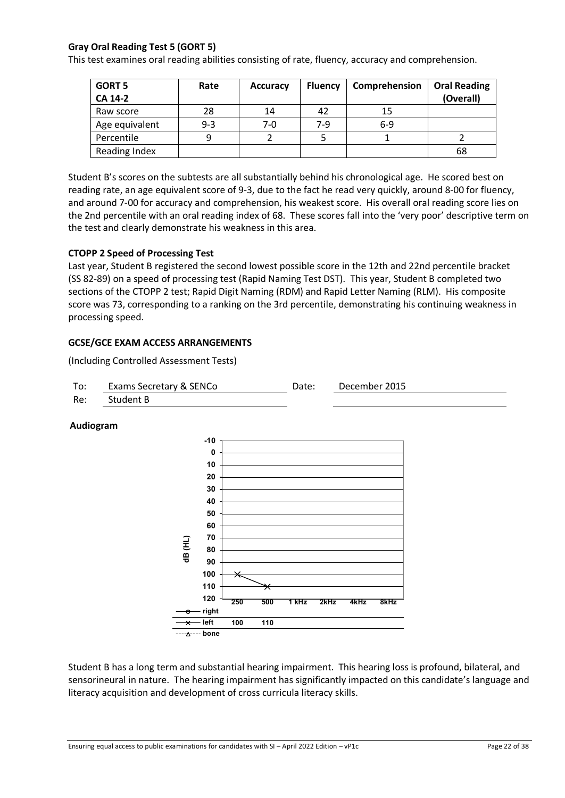# **Gray Oral Reading Test 5 (GORT 5)**

This test examines oral reading abilities consisting of rate, fluency, accuracy and comprehension.

| <b>GORT 5</b><br><b>CA 14-2</b> | Rate    | <b>Accuracy</b> | <b>Fluency</b> | Comprehension | <b>Oral Reading</b><br>(Overall) |
|---------------------------------|---------|-----------------|----------------|---------------|----------------------------------|
| Raw score                       | 28      | 14              | 42             | 15            |                                  |
| Age equivalent                  | $9 - 3$ | 7-0             | 7-9            | $6-9$         |                                  |
| Percentile                      | q       |                 |                |               |                                  |
| Reading Index                   |         |                 |                |               | 68                               |

Student B's scores on the subtests are all substantially behind his chronological age. He scored best on reading rate, an age equivalent score of 9-3, due to the fact he read very quickly, around 8-00 for fluency, and around 7-00 for accuracy and comprehension, his weakest score. His overall oral reading score lies on the 2nd percentile with an oral reading index of 68. These scores fall into the 'very poor' descriptive term on the test and clearly demonstrate his weakness in this area.

#### **CTOPP 2 Speed of Processing Test**

Last year, Student B registered the second lowest possible score in the 12th and 22nd percentile bracket (SS 82-89) on a speed of processing test (Rapid Naming Test DST). This year, Student B completed two sections of the CTOPP 2 test; Rapid Digit Naming (RDM) and Rapid Letter Naming (RLM). His composite score was 73, corresponding to a ranking on the 3rd percentile, demonstrating his continuing weakness in processing speed.

#### **GCSE/GCE EXAM ACCESS ARRANGEMENTS**

(Including Controlled Assessment Tests)



### **Audiogram**



Student B has a long term and substantial hearing impairment. This hearing loss is profound, bilateral, and sensorineural in nature. The hearing impairment has significantly impacted on this candidate's language and literacy acquisition and development of cross curricula literacy skills.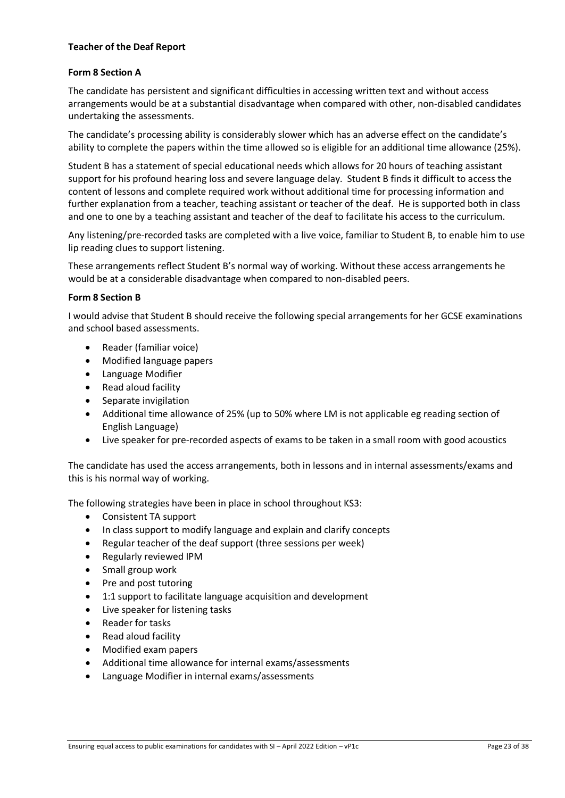### **Teacher of the Deaf Report**

### **Form 8 Section A**

The candidate has persistent and significant difficulties in accessing written text and without access arrangements would be at a substantial disadvantage when compared with other, non-disabled candidates undertaking the assessments.

The candidate's processing ability is considerably slower which has an adverse effect on the candidate's ability to complete the papers within the time allowed so is eligible for an additional time allowance (25%).

Student B has a statement of special educational needs which allows for 20 hours of teaching assistant support for his profound hearing loss and severe language delay. Student B finds it difficult to access the content of lessons and complete required work without additional time for processing information and further explanation from a teacher, teaching assistant or teacher of the deaf. He is supported both in class and one to one by a teaching assistant and teacher of the deaf to facilitate his access to the curriculum.

Any listening/pre-recorded tasks are completed with a live voice, familiar to Student B, to enable him to use lip reading clues to support listening.

These arrangements reflect Student B's normal way of working. Without these access arrangements he would be at a considerable disadvantage when compared to non-disabled peers.

#### **Form 8 Section B**

I would advise that Student B should receive the following special arrangements for her GCSE examinations and school based assessments.

- Reader (familiar voice)
- Modified language papers
- Language Modifier
- Read aloud facility
- Separate invigilation
- Additional time allowance of 25% (up to 50% where LM is not applicable eg reading section of English Language)
- Live speaker for pre-recorded aspects of exams to be taken in a small room with good acoustics

The candidate has used the access arrangements, both in lessons and in internal assessments/exams and this is his normal way of working.

The following strategies have been in place in school throughout KS3:

- Consistent TA support
- In class support to modify language and explain and clarify concepts
- Regular teacher of the deaf support (three sessions per week)
- Regularly reviewed IPM
- Small group work
- Pre and post tutoring
- 1:1 support to facilitate language acquisition and development
- Live speaker for listening tasks
- Reader for tasks
- Read aloud facility
- Modified exam papers
- Additional time allowance for internal exams/assessments
- Language Modifier in internal exams/assessments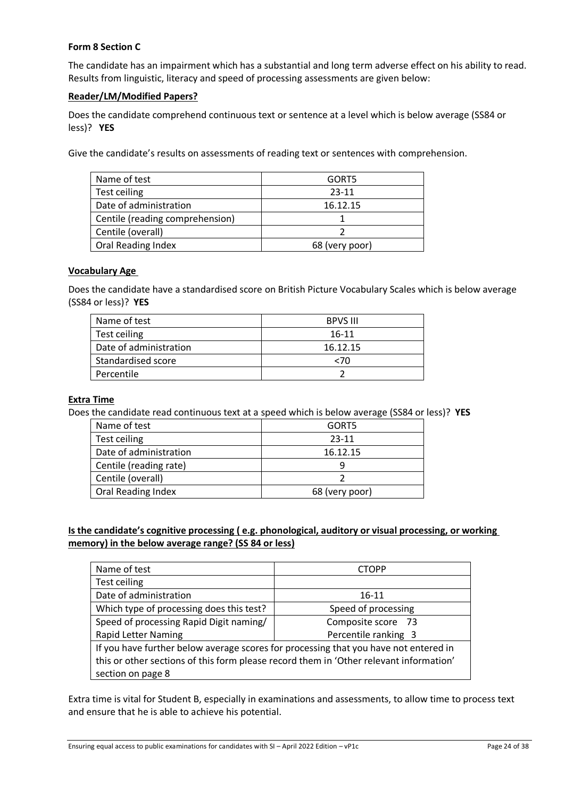## **Form 8 Section C**

The candidate has an impairment which has a substantial and long term adverse effect on his ability to read. Results from linguistic, literacy and speed of processing assessments are given below:

## **Reader/LM/Modified Papers?**

Does the candidate comprehend continuous text or sentence at a level which is below average (SS84 or less)? **YES** 

Give the candidate's results on assessments of reading text or sentences with comprehension.

| Name of test                    | GORT5          |
|---------------------------------|----------------|
| Test ceiling                    | $23 - 11$      |
| Date of administration          | 16.12.15       |
| Centile (reading comprehension) |                |
| Centile (overall)               |                |
| Oral Reading Index              | 68 (very poor) |

### **Vocabulary Age**

Does the candidate have a standardised score on British Picture Vocabulary Scales which is below average (SS84 or less)? **YES**

| Name of test           | <b>BPVS III</b> |
|------------------------|-----------------|
| Test ceiling           | 16-11           |
| Date of administration | 16.12.15        |
| Standardised score     | 70ء             |
| Percentile             |                 |

### **Extra Time**

Does the candidate read continuous text at a speed which is below average (SS84 or less)? **YES** 

| Name of test           | GORT5          |
|------------------------|----------------|
| Test ceiling           | 23-11          |
| Date of administration | 16.12.15       |
| Centile (reading rate) |                |
| Centile (overall)      |                |
| Oral Reading Index     | 68 (very poor) |

# **Is the candidate's cognitive processing ( e.g. phonological, auditory or visual processing, or working memory) in the below average range? (SS 84 or less)**

| Name of test                                                                           | <b>CTOPP</b>         |  |  |
|----------------------------------------------------------------------------------------|----------------------|--|--|
| Test ceiling                                                                           |                      |  |  |
| Date of administration                                                                 | 16-11                |  |  |
| Which type of processing does this test?                                               | Speed of processing  |  |  |
| Speed of processing Rapid Digit naming/                                                | Composite score 73   |  |  |
| <b>Rapid Letter Naming</b>                                                             | Percentile ranking 3 |  |  |
| If you have further below average scores for processing that you have not entered in   |                      |  |  |
| this or other sections of this form please record them in 'Other relevant information' |                      |  |  |
| section on page 8                                                                      |                      |  |  |

Extra time is vital for Student B, especially in examinations and assessments, to allow time to process text and ensure that he is able to achieve his potential.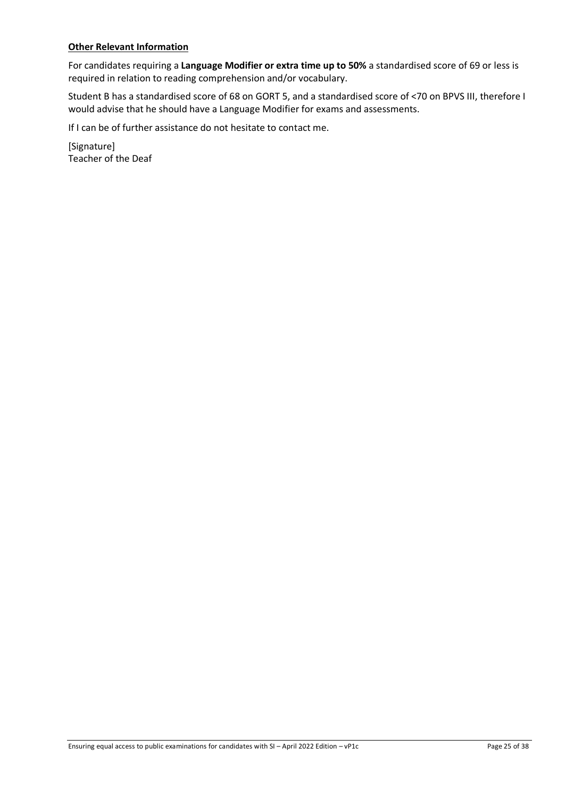## **Other Relevant Information**

For candidates requiring a **Language Modifier or extra time up to 50%** a standardised score of 69 or less is required in relation to reading comprehension and/or vocabulary.

Student B has a standardised score of 68 on GORT 5, and a standardised score of <70 on BPVS III, therefore I would advise that he should have a Language Modifier for exams and assessments.

If I can be of further assistance do not hesitate to contact me.

[Signature] Teacher of the Deaf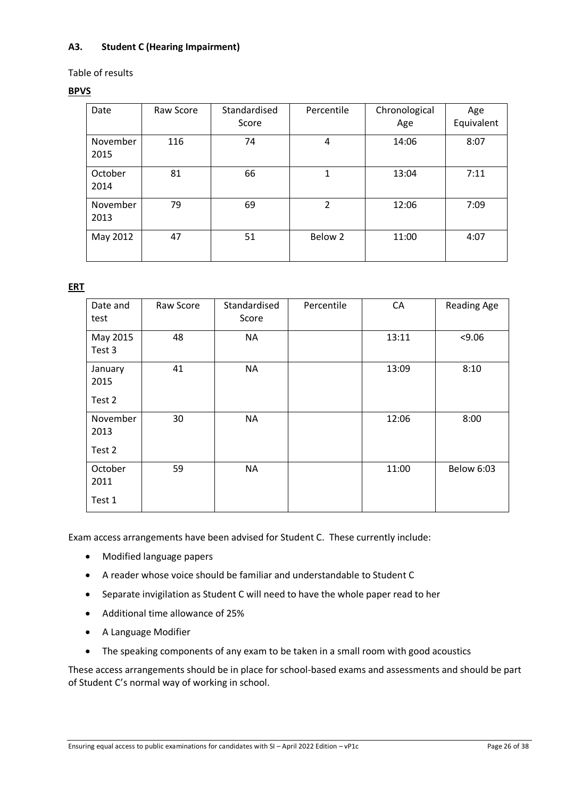# <span id="page-25-0"></span>**A3. Student C (Hearing Impairment)**

Table of results

## **BPVS**

| Date             | Raw Score | Standardised<br>Score | Percentile     | Chronological<br>Age | Age<br>Equivalent |
|------------------|-----------|-----------------------|----------------|----------------------|-------------------|
| November<br>2015 | 116       | 74                    | 4              | 14:06                | 8:07              |
| October<br>2014  | 81        | 66                    | 1              | 13:04                | 7:11              |
| November<br>2013 | 79        | 69                    | $\mathfrak{p}$ | 12:06                | 7:09              |
| May 2012         | 47        | 51                    | Below 2        | 11:00                | 4:07              |

**ERT**

| Date and<br>test           | Raw Score | Standardised<br>Score | Percentile | CA    | <b>Reading Age</b> |
|----------------------------|-----------|-----------------------|------------|-------|--------------------|
| May 2015<br>Test 3         | 48        | <b>NA</b>             |            | 13:11 | < 9.06             |
| January<br>2015<br>Test 2  | 41        | <b>NA</b>             |            | 13:09 | 8:10               |
| November<br>2013<br>Test 2 | 30        | <b>NA</b>             |            | 12:06 | 8:00               |
| October<br>2011<br>Test 1  | 59        | <b>NA</b>             |            | 11:00 | Below 6:03         |

Exam access arrangements have been advised for Student C. These currently include:

- Modified language papers
- A reader whose voice should be familiar and understandable to Student C
- Separate invigilation as Student C will need to have the whole paper read to her
- Additional time allowance of 25%
- A Language Modifier
- The speaking components of any exam to be taken in a small room with good acoustics

These access arrangements should be in place for school-based exams and assessments and should be part of Student C's normal way of working in school.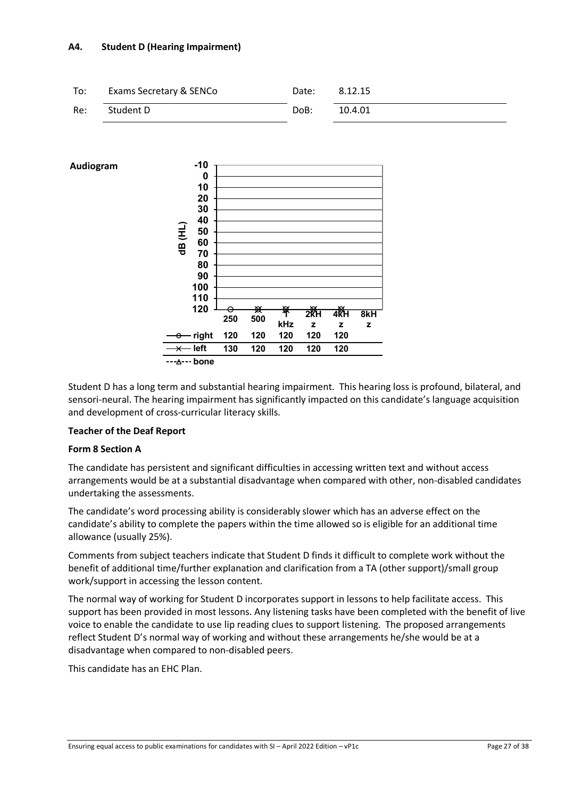### <span id="page-26-0"></span>**A4. Student D (Hearing Impairment)**





Student D has a long term and substantial hearing impairment. This hearing loss is profound, bilateral, and sensori-neural. The hearing impairment has significantly impacted on this candidate's language acquisition and development of cross-curricular literacy skills.

### **Teacher of the Deaf Report**

### **Form 8 Section A**

The candidate has persistent and significant difficulties in accessing written text and without access arrangements would be at a substantial disadvantage when compared with other, non-disabled candidates undertaking the assessments.

The candidate's word processing ability is considerably slower which has an adverse effect on the candidate's ability to complete the papers within the time allowed so is eligible for an additional time allowance (usually 25%).

Comments from subject teachers indicate that Student D finds it difficult to complete work without the benefit of additional time/further explanation and clarification from a TA (other support)/small group work/support in accessing the lesson content.

The normal way of working for Student D incorporates support in lessons to help facilitate access. This support has been provided in most lessons. Any listening tasks have been completed with the benefit of live voice to enable the candidate to use lip reading clues to support listening. The proposed arrangements reflect Student D's normal way of working and without these arrangements he/she would be at a disadvantage when compared to non-disabled peers.

This candidate has an EHC Plan.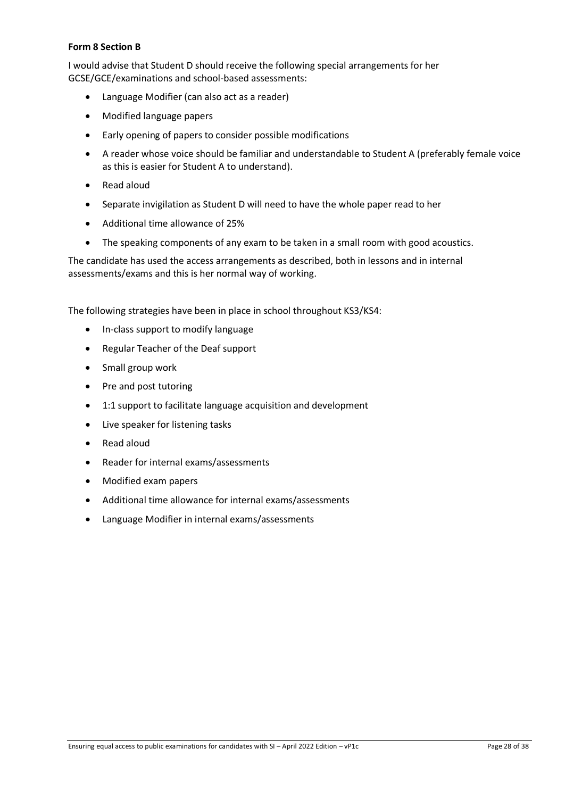### **Form 8 Section B**

I would advise that Student D should receive the following special arrangements for her GCSE/GCE/examinations and school-based assessments:

- Language Modifier (can also act as a reader)
- Modified language papers
- Early opening of papers to consider possible modifications
- A reader whose voice should be familiar and understandable to Student A (preferably female voice as this is easier for Student A to understand).
- Read aloud
- Separate invigilation as Student D will need to have the whole paper read to her
- Additional time allowance of 25%
- The speaking components of any exam to be taken in a small room with good acoustics.

The candidate has used the access arrangements as described, both in lessons and in internal assessments/exams and this is her normal way of working.

The following strategies have been in place in school throughout KS3/KS4:

- In-class support to modify language
- Regular Teacher of the Deaf support
- Small group work
- Pre and post tutoring
- 1:1 support to facilitate language acquisition and development
- Live speaker for listening tasks
- Read aloud
- Reader for internal exams/assessments
- Modified exam papers
- Additional time allowance for internal exams/assessments
- Language Modifier in internal exams/assessments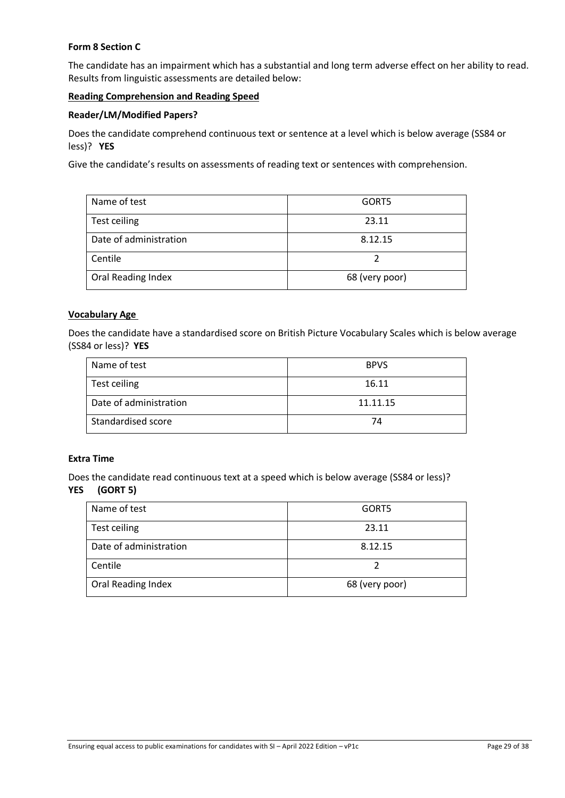## **Form 8 Section C**

The candidate has an impairment which has a substantial and long term adverse effect on her ability to read. Results from linguistic assessments are detailed below:

### **Reading Comprehension and Reading Speed**

### **Reader/LM/Modified Papers?**

Does the candidate comprehend continuous text or sentence at a level which is below average (SS84 or less)? **YES** 

Give the candidate's results on assessments of reading text or sentences with comprehension.

| Name of test           | GORT5          |
|------------------------|----------------|
| Test ceiling           | 23.11          |
| Date of administration | 8.12.15        |
| Centile                |                |
| Oral Reading Index     | 68 (very poor) |

### **Vocabulary Age**

Does the candidate have a standardised score on British Picture Vocabulary Scales which is below average (SS84 or less)? **YES** 

| Name of test           | <b>BPVS</b> |
|------------------------|-------------|
| Test ceiling           | 16.11       |
| Date of administration | 11.11.15    |
| Standardised score     | 74          |

### **Extra Time**

Does the candidate read continuous text at a speed which is below average (SS84 or less)?

### **YES (GORT 5)**

| Name of test           | GORT5          |
|------------------------|----------------|
| Test ceiling           | 23.11          |
| Date of administration | 8.12.15        |
| Centile                |                |
| Oral Reading Index     | 68 (very poor) |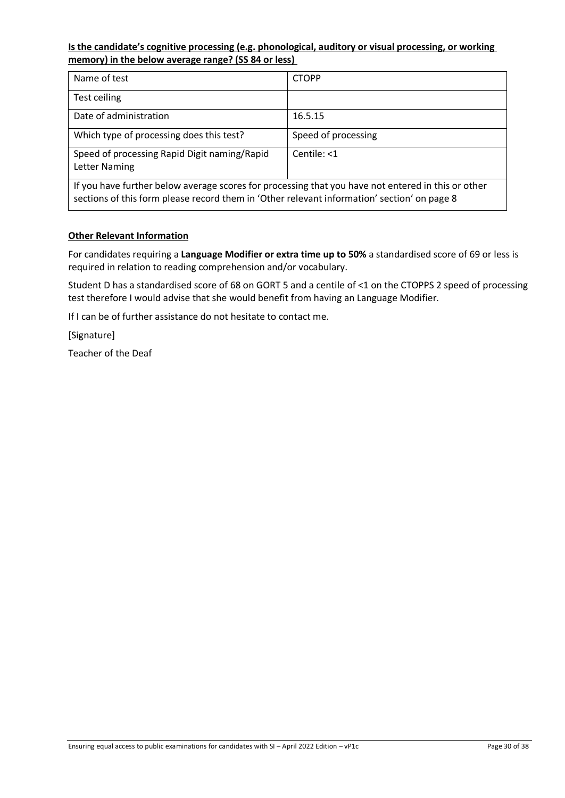## **Is the candidate's cognitive processing (e.g. phonological, auditory or visual processing, or working memory) in the below average range? (SS 84 or less)**

| Name of test                                                                                                                                                                                      | <b>CTOPP</b>        |  |
|---------------------------------------------------------------------------------------------------------------------------------------------------------------------------------------------------|---------------------|--|
| Test ceiling                                                                                                                                                                                      |                     |  |
| Date of administration                                                                                                                                                                            | 16.5.15             |  |
| Which type of processing does this test?                                                                                                                                                          | Speed of processing |  |
| Speed of processing Rapid Digit naming/Rapid<br>Letter Naming                                                                                                                                     | $Centile: 1$        |  |
| If you have further below average scores for processing that you have not entered in this or other<br>sections of this form please record them in 'Other relevant information' section' on page 8 |                     |  |

## **Other Relevant Information**

For candidates requiring a **Language Modifier or extra time up to 50%** a standardised score of 69 or less is required in relation to reading comprehension and/or vocabulary.

Student D has a standardised score of 68 on GORT 5 and a centile of <1 on the CTOPPS 2 speed of processing test therefore I would advise that she would benefit from having an Language Modifier.

If I can be of further assistance do not hesitate to contact me.

[Signature]

Teacher of the Deaf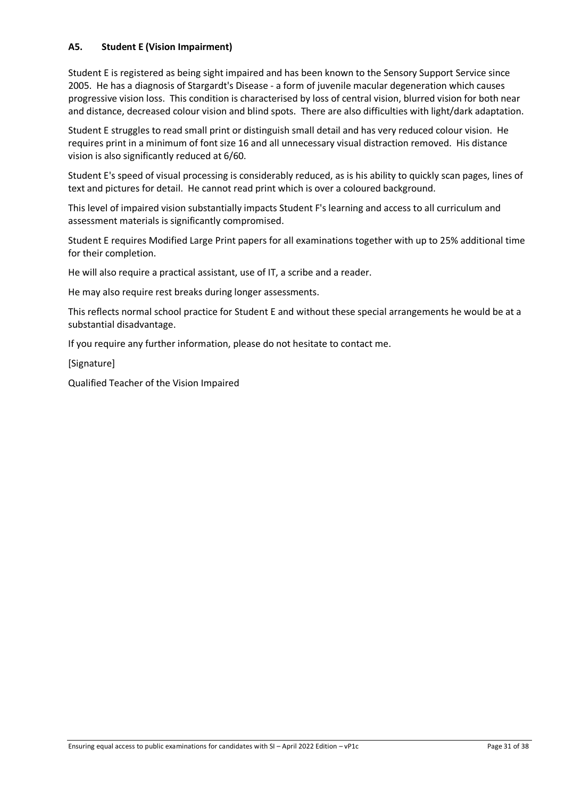## <span id="page-30-0"></span>**A5. Student E (Vision Impairment)**

Student E is registered as being sight impaired and has been known to the Sensory Support Service since 2005. He has a diagnosis of Stargardt's Disease - a form of juvenile macular degeneration which causes progressive vision loss. This condition is characterised by loss of central vision, blurred vision for both near and distance, decreased colour vision and blind spots. There are also difficulties with light/dark adaptation.

Student E struggles to read small print or distinguish small detail and has very reduced colour vision. He requires print in a minimum of font size 16 and all unnecessary visual distraction removed. His distance vision is also significantly reduced at 6/60.

Student E's speed of visual processing is considerably reduced, as is his ability to quickly scan pages, lines of text and pictures for detail. He cannot read print which is over a coloured background.

This level of impaired vision substantially impacts Student F's learning and access to all curriculum and assessment materials is significantly compromised.

Student E requires Modified Large Print papers for all examinations together with up to 25% additional time for their completion.

He will also require a practical assistant, use of IT, a scribe and a reader.

He may also require rest breaks during longer assessments.

This reflects normal school practice for Student E and without these special arrangements he would be at a substantial disadvantage.

If you require any further information, please do not hesitate to contact me.

[Signature]

Qualified Teacher of the Vision Impaired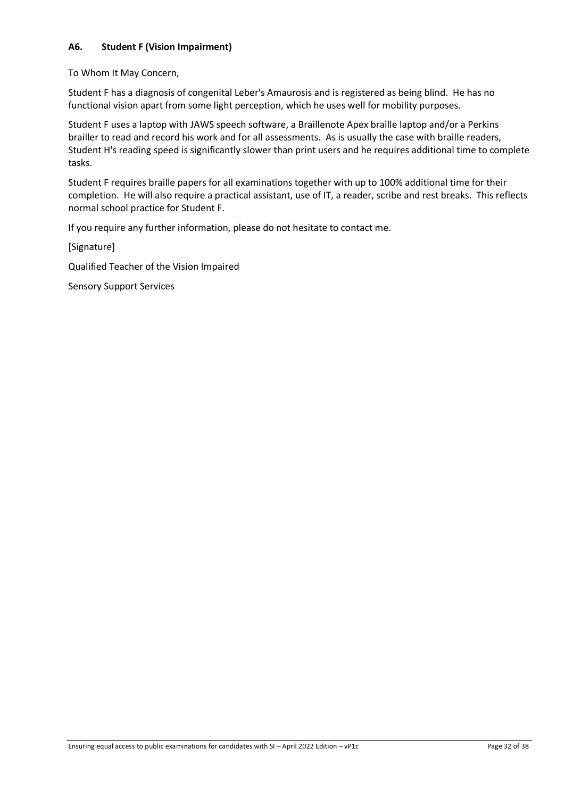## <span id="page-31-0"></span>**A6. Student F (Vision Impairment)**

To Whom It May Concern,

Student F has a diagnosis of congenital Leber's Amaurosis and is registered as being blind. He has no functional vision apart from some light perception, which he uses well for mobility purposes.

Student F uses a laptop with JAWS speech software, a Braillenote Apex braille laptop and/or a Perkins brailler to read and record his work and for all assessments. As is usually the case with braille readers, Student H's reading speed is significantly slower than print users and he requires additional time to complete tasks.

Student F requires braille papers for all examinations together with up to 100% additional time for their completion. He will also require a practical assistant, use of IT, a reader, scribe and rest breaks. This reflects normal school practice for Student F.

If you require any further information, please do not hesitate to contact me.

[Signature]

Qualified Teacher of the Vision Impaired

Sensory Support Services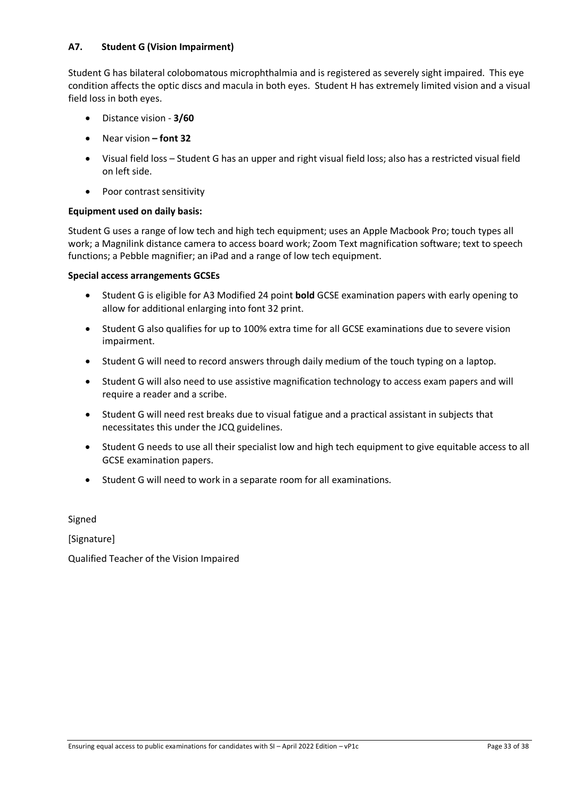## <span id="page-32-0"></span>**A7. Student G (Vision Impairment)**

Student G has bilateral colobomatous microphthalmia and is registered as severely sight impaired. This eye condition affects the optic discs and macula in both eyes. Student H has extremely limited vision and a visual field loss in both eyes.

- Distance vision **3/60**
- Near vision **– font 32**
- Visual field loss Student G has an upper and right visual field loss; also has a restricted visual field on left side.
- Poor contrast sensitivity

### **Equipment used on daily basis:**

Student G uses a range of low tech and high tech equipment; uses an Apple Macbook Pro; touch types all work; a Magnilink distance camera to access board work; Zoom Text magnification software; text to speech functions; a Pebble magnifier; an iPad and a range of low tech equipment.

#### **Special access arrangements GCSEs**

- Student G is eligible for A3 Modified 24 point **bold** GCSE examination papers with early opening to allow for additional enlarging into font 32 print.
- Student G also qualifies for up to 100% extra time for all GCSE examinations due to severe vision impairment.
- Student G will need to record answers through daily medium of the touch typing on a laptop.
- Student G will also need to use assistive magnification technology to access exam papers and will require a reader and a scribe.
- Student G will need rest breaks due to visual fatigue and a practical assistant in subjects that necessitates this under the JCQ guidelines.
- Student G needs to use all their specialist low and high tech equipment to give equitable access to all GCSE examination papers.
- Student G will need to work in a separate room for all examinations.

Signed

[Signature]

Qualified Teacher of the Vision Impaired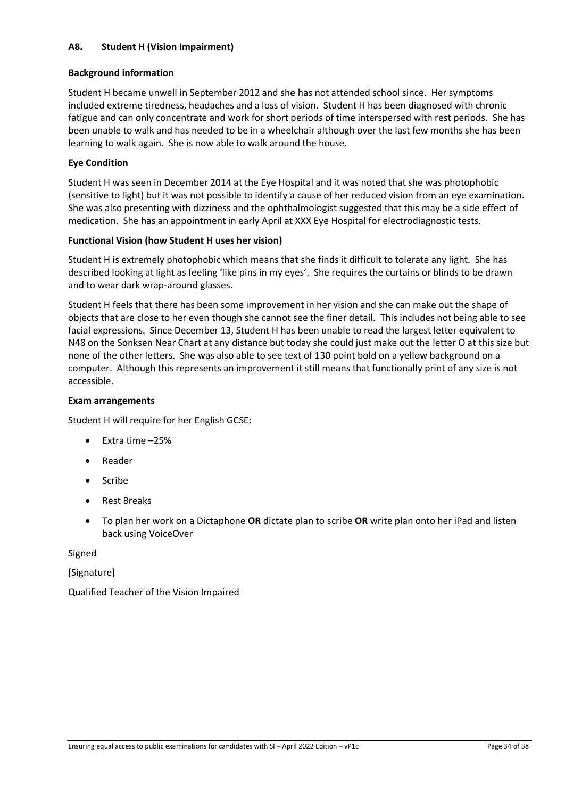## <span id="page-33-0"></span>**A8. Student H (Vision Impairment)**

### **Background information**

Student H became unwell in September 2012 and she has not attended school since. Her symptoms included extreme tiredness, headaches and a loss of vision. Student H has been diagnosed with chronic fatigue and can only concentrate and work for short periods of time interspersed with rest periods. She has been unable to walk and has needed to be in a wheelchair although over the last few months she has been learning to walk again. She is now able to walk around the house.

## **Eye Condition**

Student H was seen in December 2014 at the Eye Hospital and it was noted that she was photophobic (sensitive to light) but it was not possible to identify a cause of her reduced vision from an eye examination. She was also presenting with dizziness and the ophthalmologist suggested that this may be a side effect of medication. She has an appointment in early April at XXX Eye Hospital for electrodiagnostic tests.

## **Functional Vision (how Student H uses her vision)**

Student H is extremely photophobic which means that she finds it difficult to tolerate any light. She has described looking at light as feeling 'like pins in my eyes'. She requires the curtains or blinds to be drawn and to wear dark wrap-around glasses.

Student H feels that there has been some improvement in her vision and she can make out the shape of objects that are close to her even though she cannot see the finer detail. This includes not being able to see facial expressions. Since December 13, Student H has been unable to read the largest letter equivalent to N48 on the Sonksen Near Chart at any distance but today she could just make out the letter O at this size but none of the other letters. She was also able to see text of 130 point bold on a yellow background on a computer. Although this represents an improvement it still means that functionally print of any size is not accessible.

### **Exam arrangements**

Student H will require for her English GCSE:

- Extra time –25%
- **Reader**
- Scribe
- Rest Breaks
- To plan her work on a Dictaphone **OR** dictate plan to scribe **OR** write plan onto her iPad and listen back using VoiceOver

Signed

[Signature]

Qualified Teacher of the Vision Impaired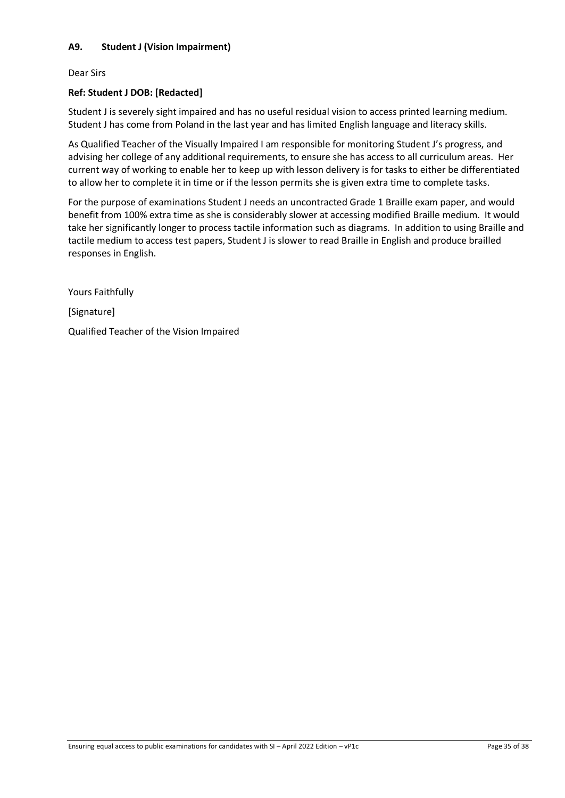## <span id="page-34-0"></span>**A9. Student J (Vision Impairment)**

Dear Sirs

### **Ref: Student J DOB: [Redacted]**

Student J is severely sight impaired and has no useful residual vision to access printed learning medium. Student J has come from Poland in the last year and has limited English language and literacy skills.

As Qualified Teacher of the Visually Impaired I am responsible for monitoring Student J's progress, and advising her college of any additional requirements, to ensure she has access to all curriculum areas. Her current way of working to enable her to keep up with lesson delivery is for tasks to either be differentiated to allow her to complete it in time or if the lesson permits she is given extra time to complete tasks.

For the purpose of examinations Student J needs an uncontracted Grade 1 Braille exam paper, and would benefit from 100% extra time as she is considerably slower at accessing modified Braille medium. It would take her significantly longer to process tactile information such as diagrams. In addition to using Braille and tactile medium to access test papers, Student J is slower to read Braille in English and produce brailled responses in English.

Yours Faithfully [Signature] Qualified Teacher of the Vision Impaired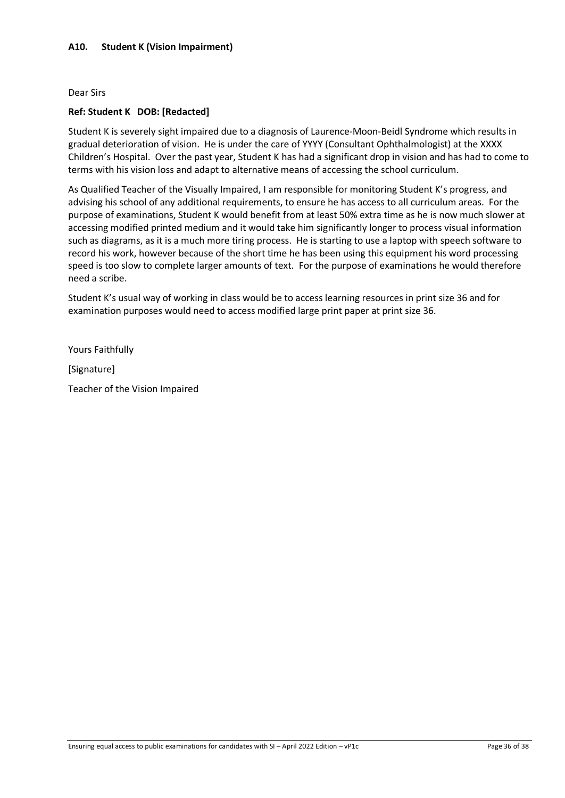### <span id="page-35-0"></span>**A10. Student K (Vision Impairment)**

#### Dear Sirs

### **Ref: Student K DOB: [Redacted]**

Student K is severely sight impaired due to a diagnosis of Laurence-Moon-Beidl Syndrome which results in gradual deterioration of vision. He is under the care of YYYY (Consultant Ophthalmologist) at the XXXX Children's Hospital. Over the past year, Student K has had a significant drop in vision and has had to come to terms with his vision loss and adapt to alternative means of accessing the school curriculum.

As Qualified Teacher of the Visually Impaired, I am responsible for monitoring Student K's progress, and advising his school of any additional requirements, to ensure he has access to all curriculum areas. For the purpose of examinations, Student K would benefit from at least 50% extra time as he is now much slower at accessing modified printed medium and it would take him significantly longer to process visual information such as diagrams, as it is a much more tiring process. He is starting to use a laptop with speech software to record his work, however because of the short time he has been using this equipment his word processing speed is too slow to complete larger amounts of text. For the purpose of examinations he would therefore need a scribe.

Student K's usual way of working in class would be to access learning resources in print size 36 and for examination purposes would need to access modified large print paper at print size 36.

Yours Faithfully

[Signature]

Teacher of the Vision Impaired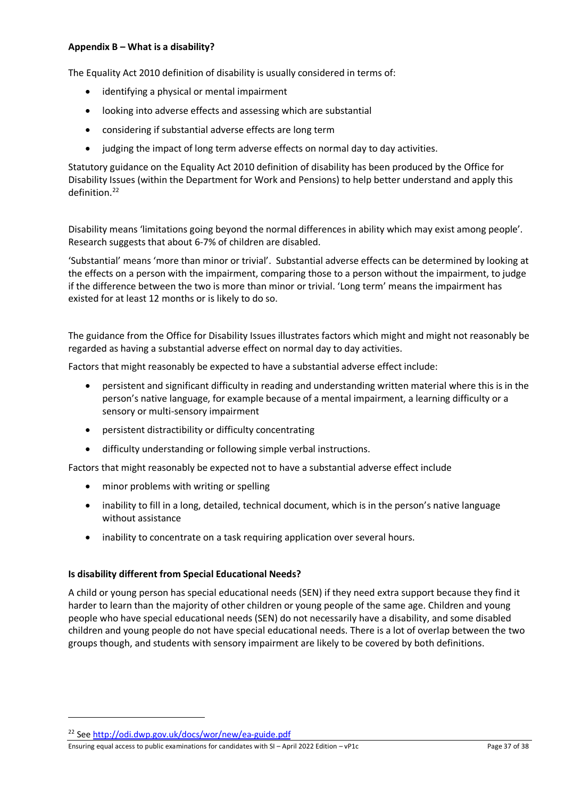### <span id="page-36-0"></span>**Appendix B – What is a disability?**

The Equality Act 2010 definition of disability is usually considered in terms of:

- identifying a physical or mental impairment
- looking into adverse effects and assessing which are substantial
- considering if substantial adverse effects are long term
- judging the impact of long term adverse effects on normal day to day activities.

Statutory guidance on the Equality Act 2010 definition of disability has been produced by the Office for Disability Issues (within the Department for Work and Pensions) to help better understand and apply this definition. [22](#page-36-1)

Disability means 'limitations going beyond the normal differences in ability which may exist among people'. Research suggests that about 6-7% of children are disabled.

'Substantial' means 'more than minor or trivial'. Substantial adverse effects can be determined by looking at the effects on a person with the impairment, comparing those to a person without the impairment, to judge if the difference between the two is more than minor or trivial. 'Long term' means the impairment has existed for at least 12 months or is likely to do so.

The guidance from the Office for Disability Issues illustrates factors which might and might not reasonably be regarded as having a substantial adverse effect on normal day to day activities.

Factors that might reasonably be expected to have a substantial adverse effect include:

- persistent and significant difficulty in reading and understanding written material where this is in the person's native language, for example because of a mental impairment, a learning difficulty or a sensory or multi-sensory impairment
- persistent distractibility or difficulty concentrating
- difficulty understanding or following simple verbal instructions.

Factors that might reasonably be expected not to have a substantial adverse effect include

- minor problems with writing or spelling
- inability to fill in a long, detailed, technical document, which is in the person's native language without assistance
- inability to concentrate on a task requiring application over several hours.

### **Is disability different from Special Educational Needs?**

A child or young person has special educational needs (SEN) if they need extra support because they find it harder to learn than the majority of other children or young people of the same age. Children and young people who have special educational needs (SEN) do not necessarily have a disability, and some disabled children and young people do not have special educational needs. There is a lot of overlap between the two groups though, and students with sensory impairment are likely to be covered by both definitions.

Ensuring equal access to public examinations for candidates with SI – April 2022 Edition – vP1c Page 37 of 38

<span id="page-36-1"></span><sup>22</sup> Se[e http://odi.dwp.gov.uk/docs/wor/new/ea-guide.pdf](http://odi.dwp.gov.uk/docs/wor/new/ea-guide.pdf)